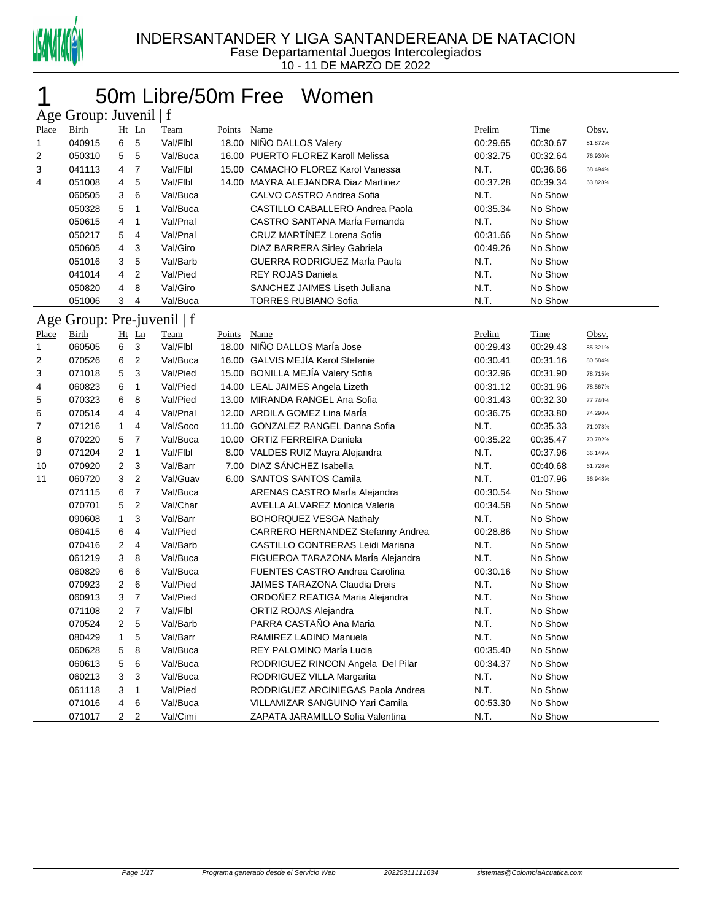

### 50m Libre/50m Free Women

| Age Group: Juvenil   f |                            |                         |                |             |               |                                       |          |             |         |  |  |
|------------------------|----------------------------|-------------------------|----------------|-------------|---------------|---------------------------------------|----------|-------------|---------|--|--|
| Place                  | <b>Birth</b>               |                         | Ht Ln          | <b>Team</b> | <b>Points</b> | Name                                  | Prelim   | <b>Time</b> | Obsv.   |  |  |
| 1                      | 040915                     | 6                       | 5              | Val/Flbl    |               | 18.00 NIÑO DALLOS Valery              | 00:29.65 | 00:30.67    | 81.872% |  |  |
| 2                      | 050310                     | 5                       | 5              | Val/Buca    | 16.00         | PUERTO FLOREZ Karoll Melissa          | 00:32.75 | 00:32.64    | 76.930% |  |  |
| 3                      | 041113                     | 4                       | $\overline{7}$ | Val/Flbl    | 15.00         | <b>CAMACHO FLOREZ Karol Vanessa</b>   | N.T.     | 00:36.66    | 68.494% |  |  |
| 4                      | 051008                     | 4                       | 5              | Val/Flbl    |               | 14.00 MAYRA ALEJANDRA Diaz Martinez   | 00:37.28 | 00:39.34    | 63.828% |  |  |
|                        | 060505                     | 3                       | 6              | Val/Buca    |               | CALVO CASTRO Andrea Sofia             | N.T.     | No Show     |         |  |  |
|                        | 050328                     | 5                       | 1              | Val/Buca    |               | CASTILLO CABALLERO Andrea Paola       | 00:35.34 | No Show     |         |  |  |
|                        | 050615                     | 4                       | $\mathbf{1}$   | Val/Pnal    |               | CASTRO SANTANA María Fernanda         | N.T.     | No Show     |         |  |  |
|                        | 050217                     | 5                       | 4              | Val/Pnal    |               | CRUZ MARTÍNEZ Lorena Sofia            | 00:31.66 | No Show     |         |  |  |
|                        | 050605                     | 4                       | 3              | Val/Giro    |               | DIAZ BARRERA Sirley Gabriela          | 00:49.26 | No Show     |         |  |  |
|                        | 051016                     | 3                       | 5              | Val/Barb    |               | GUERRA RODRIGUEZ María Paula          | N.T.     | No Show     |         |  |  |
|                        | 041014                     | 4                       | 2              | Val/Pied    |               | <b>REY ROJAS Daniela</b>              | N.T.     | No Show     |         |  |  |
|                        | 050820                     | 4                       | 8              | Val/Giro    |               | SANCHEZ JAIMES Liseth Juliana         | N.T.     | No Show     |         |  |  |
|                        | 051006                     | 3                       | 4              | Val/Buca    |               | <b>TORRES RUBIANO Sofia</b>           | N.T.     | No Show     |         |  |  |
|                        | Age Group: Pre-juvenil   f |                         |                |             |               |                                       |          |             |         |  |  |
| <b>Place</b>           | <b>Birth</b>               |                         | Ht Ln          | <b>Team</b> | <b>Points</b> | Name                                  | Prelim   | Time        | Obsv.   |  |  |
| 1                      | 060505                     | 6                       | 3              | Val/Flbl    |               | 18.00 NIÑO DALLOS MarÍa Jose          | 00:29.43 | 00:29.43    | 85.321% |  |  |
| 2                      | 070526                     | 6                       | $\overline{2}$ | Val/Buca    |               | 16.00 GALVIS MEJÍA Karol Stefanie     | 00:30.41 | 00:31.16    | 80.584% |  |  |
| 3                      | 071018                     | 5                       | 3              | Val/Pied    |               | 15.00 BONILLA MEJÍA Valery Sofia      | 00:32.96 | 00:31.90    | 78.715% |  |  |
| 4                      | 060823                     | 6                       | $\mathbf{1}$   | Val/Pied    |               | 14.00 LEAL JAIMES Angela Lizeth       | 00:31.12 | 00:31.96    | 78.567% |  |  |
| 5                      | 070323                     | 6                       | 8              | Val/Pied    |               | 13.00 MIRANDA RANGEL Ana Sofia        | 00:31.43 | 00:32.30    | 77.740% |  |  |
| 6                      | 070514                     | 4                       | 4              | Val/Pnal    |               | 12.00 ARDILA GOMEZ Lina Marla         | 00:36.75 | 00:33.80    | 74.290% |  |  |
| 7                      | 071216                     | $\mathbf{1}$            | 4              | Val/Soco    |               | 11.00 GONZALEZ RANGEL Danna Sofia     | N.T.     | 00:35.33    | 71.073% |  |  |
| 8                      | 070220                     | 5                       | $\overline{7}$ | Val/Buca    |               | 10.00 ORTIZ FERREIRA Daniela          | 00:35.22 | 00:35.47    | 70.792% |  |  |
| 9                      | 071204                     | $\overline{2}$          | $\mathbf{1}$   | Val/Flbl    |               | 8.00 VALDES RUIZ Mayra Alejandra      | N.T.     | 00:37.96    | 66.149% |  |  |
| 10                     | 070920                     | $\overline{2}$          | 3              | Val/Barr    | 7.00          | DIAZ SÁNCHEZ Isabella                 | N.T.     | 00:40.68    | 61.726% |  |  |
| 11                     | 060720                     | 3                       | $\overline{2}$ | Val/Guav    |               | 6.00 SANTOS SANTOS Camila             | N.T.     | 01:07.96    | 36.948% |  |  |
|                        | 071115                     | 6                       | $\overline{7}$ | Val/Buca    |               | ARENAS CASTRO MarÍa Alejandra         | 00:30.54 | No Show     |         |  |  |
|                        | 070701                     | 5                       | $\overline{2}$ | Val/Char    |               | AVELLA ALVAREZ Monica Valeria         | 00:34.58 | No Show     |         |  |  |
|                        | 090608                     | $\mathbf{1}$            | 3              | Val/Barr    |               | <b>BOHORQUEZ VESGA Nathaly</b>        | N.T.     | No Show     |         |  |  |
|                        | 060415                     | 6                       | 4              | Val/Pied    |               | CARRERO HERNANDEZ Stefanny Andrea     | 00:28.86 | No Show     |         |  |  |
|                        | 070416                     | $\overline{2}$          | 4              | Val/Barb    |               | CASTILLO CONTRERAS Leidi Mariana      | N.T.     | No Show     |         |  |  |
|                        | 061219                     | 3                       | 8              | Val/Buca    |               | FIGUEROA TARAZONA MarÍa Alejandra     | N.T.     | No Show     |         |  |  |
|                        | 060829                     | 6                       | 6              | Val/Buca    |               | <b>FUENTES CASTRO Andrea Carolina</b> | 00:30.16 | No Show     |         |  |  |
|                        | 070923                     | $\overline{\mathbf{c}}$ | 6              | Val/Pied    |               | JAIMES TARAZONA Claudia Dreis         | N.T.     | No Show     |         |  |  |
|                        | 060913                     | 3                       | $\overline{7}$ | Val/Pied    |               | ORDOÑEZ REATIGA Maria Alejandra       | N.T.     | No Show     |         |  |  |
|                        | 071108                     | 2                       | $\overline{7}$ | Val/Flbl    |               | ORTIZ ROJAS Alejandra                 | N.T.     | No Show     |         |  |  |
|                        | 070524                     | $\overline{2}$          | 5              | Val/Barb    |               | PARRA CASTAÑO Ana Maria               | N.T.     | No Show     |         |  |  |
|                        | 080429                     | 1                       | 5              | Val/Barr    |               | RAMIREZ LADINO Manuela                | N.T.     | No Show     |         |  |  |
|                        | 060628                     | 5                       | 8              | Val/Buca    |               | REY PALOMINO MarÍa Lucia              | 00:35.40 | No Show     |         |  |  |
|                        | 060613                     | 5                       | 6              | Val/Buca    |               | RODRIGUEZ RINCON Angela Del Pilar     | 00:34.37 | No Show     |         |  |  |
|                        | 060213                     | 3                       | 3              | Val/Buca    |               | RODRIGUEZ VILLA Margarita             | N.T.     | No Show     |         |  |  |
|                        | 061118                     | 3                       | 1              | Val/Pied    |               | RODRIGUEZ ARCINIEGAS Paola Andrea     | N.T.     | No Show     |         |  |  |
|                        | 071016                     | 4                       | 6              | Val/Buca    |               | VILLAMIZAR SANGUINO Yari Camila       | 00:53.30 | No Show     |         |  |  |
|                        | 071017                     | 2 <sub>2</sub>          |                | Val/Cimi    |               | ZAPATA JARAMILLO Sofia Valentina      | N.T.     | No Show     |         |  |  |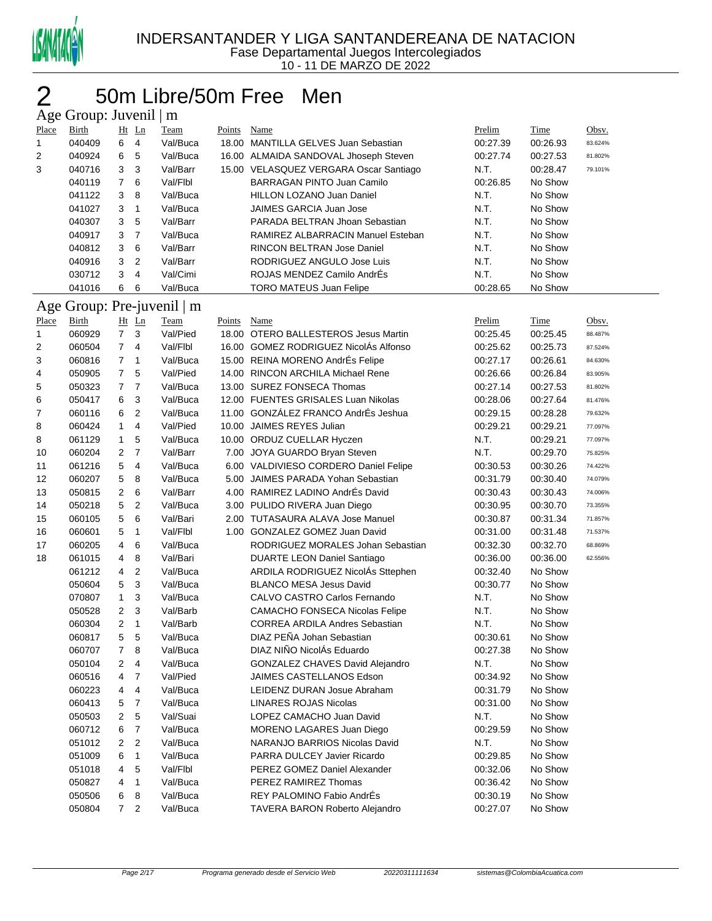

### 2 50m Libre/50m Free Men

|              | Age Group: Juvenil   m |                |                     |                            |        |                                                             |                      |                    |         |
|--------------|------------------------|----------------|---------------------|----------------------------|--------|-------------------------------------------------------------|----------------------|--------------------|---------|
| Place        | <b>Birth</b>           |                | Ht Ln               | Team                       | Points | <b>Name</b>                                                 | Prelim               | <b>Time</b>        | Obsv.   |
| 1            | 040409                 | 6              | $\overline{4}$      | Val/Buca                   |        | 18.00 MANTILLA GELVES Juan Sebastian                        | 00:27.39             | 00:26.93           | 83.624% |
| 2            | 040924                 | 6              | 5                   | Val/Buca                   |        | 16.00 ALMAIDA SANDOVAL Jhoseph Steven                       | 00:27.74             | 00:27.53           | 81.802% |
| 3            | 040716                 | 3              | 3                   | Val/Barr                   |        | 15.00 VELASQUEZ VERGARA Oscar Santiago                      | N.T.                 | 00:28.47           | 79.101% |
|              | 040119                 | $\overline{7}$ | 6                   | Val/Flbl                   |        | <b>BARRAGAN PINTO Juan Camilo</b>                           | 00:26.85             | No Show            |         |
|              | 041122                 | 3              | 8                   | Val/Buca                   |        | <b>HILLON LOZANO Juan Daniel</b>                            | N.T.                 | No Show            |         |
|              | 041027                 | 3              | $\mathbf{1}$        | Val/Buca                   |        | JAIMES GARCIA Juan Jose                                     | N.T.                 | No Show            |         |
|              | 040307                 | 3              | 5                   | Val/Barr                   |        | PARADA BELTRAN Jhoan Sebastian                              | N.T.                 | No Show            |         |
|              | 040917                 | 3              | $\overline{7}$      | Val/Buca                   |        | RAMIREZ ALBARRACIN Manuel Esteban                           | N.T.                 | No Show            |         |
|              | 040812                 | 3              | 6                   | Val/Barr                   |        | <b>RINCON BELTRAN Jose Daniel</b>                           | N.T.                 | No Show            |         |
|              | 040916                 | 3              | $\overline{c}$      | Val/Barr                   |        | RODRIGUEZ ANGULO Jose Luis                                  | N.T.                 | No Show            |         |
|              | 030712                 | 3              | 4                   | Val/Cimi                   |        | ROJAS MENDEZ Camilo AndrEs                                  | N.T.                 | No Show            |         |
|              | 041016                 | 6              | 6                   | Val/Buca                   |        | <b>TORO MATEUS Juan Felipe</b>                              | 00:28.65             | No Show            |         |
|              |                        |                |                     | Age Group: Pre-juvenil   m |        |                                                             |                      |                    |         |
| <b>Place</b> | Birth                  |                | Ht Ln               | Team                       | Points | Name                                                        | Prelim               | Time               | Obsv.   |
| 1            | 060929                 | $\overline{7}$ | 3                   | Val/Pied                   |        | 18.00 OTERO BALLESTEROS Jesus Martin                        | 00:25.45             | 00:25.45           | 88.487% |
| 2            | 060504                 | $\overline{7}$ | 4                   | Val/Flbl                   |        | 16.00 GOMEZ RODRIGUEZ NicolÁs Alfonso                       | 00:25.62             | 00:25.73           | 87.524% |
| 3            | 060816                 | 7              | $\mathbf 1$         | Val/Buca                   |        | 15.00 REINA MORENO AndrÉs Felipe                            | 00:27.17             | 00:26.61           | 84.630% |
| 4            | 050905                 | 7              | 5                   | Val/Pied                   |        | 14.00 RINCON ARCHILA Michael Rene                           | 00:26.66             | 00:26.84           | 83.905% |
| 5            | 050323                 | 7              | $\overline{7}$      | Val/Buca                   |        | 13.00 SUREZ FONSECA Thomas                                  | 00:27.14             | 00:27.53           | 81.802% |
| 6            | 050417                 | 6              | 3                   | Val/Buca                   |        | 12.00 FUENTES GRISALES Luan Nikolas                         | 00:28.06             | 00:27.64           | 81.476% |
| 7            | 060116                 | 6              | $\overline{c}$      | Val/Buca                   |        | 11.00 GONZÁLEZ FRANCO AndrÉs Jeshua                         | 00:29.15             | 00:28.28           | 79.632% |
| 8            | 060424                 | 1              | 4                   | Val/Pied                   |        | 10.00 JAIMES REYES Julian                                   | 00:29.21             | 00:29.21           | 77.097% |
| 8            | 061129                 | $\mathbf{1}$   | 5                   | Val/Buca                   |        | 10.00 ORDUZ CUELLAR Hyczen                                  | N.T.                 | 00:29.21           | 77.097% |
| 10           | 060204                 | 2              | $\overline{7}$      | Val/Barr                   |        | 7.00 JOYA GUARDO Bryan Steven                               | N.T.                 | 00:29.70           | 75.825% |
| 11           | 061216                 | 5              | 4                   | Val/Buca                   |        | 6.00 VALDIVIESO CORDERO Daniel Felipe                       | 00:30.53             | 00:30.26           | 74.422% |
| 12           | 060207                 | 5              | 8                   | Val/Buca                   |        | 5.00 JAIMES PARADA Yohan Sebastian                          | 00:31.79             | 00:30.40           | 74.079% |
| 13           | 050815                 | 2              | 6                   | Val/Barr                   |        | 4.00 RAMIREZ LADINO AndrÉs David                            | 00:30.43             | 00:30.43           | 74.006% |
| 14           | 050218                 | 5              | $\overline{2}$      | Val/Buca                   |        | 3.00 PULIDO RIVERA Juan Diego                               | 00:30.95             | 00:30.70           | 73.355% |
| 15           | 060105                 | 5              | 6                   | Val/Bari                   |        | 2.00 TUTASAURA ALAVA Jose Manuel                            | 00:30.87             | 00:31.34           | 71.857% |
| 16           | 060601                 | 5              | 1                   | Val/Flbl                   |        | 1.00 GONZALEZ GOMEZ Juan David                              | 00:31.00             | 00:31.48           | 71.537% |
| 17           | 060205                 | 4              | 6                   | Val/Buca                   |        | RODRIGUEZ MORALES Johan Sebastian                           | 00:32.30             | 00:32.70           | 68.869% |
| 18           | 061015                 | 4              | 8                   | Val/Bari                   |        | <b>DUARTE LEON Daniel Santiago</b>                          | 00:36.00             | 00:36.00           | 62.556% |
|              | 061212                 | 4              | $\overline{c}$      | Val/Buca                   |        | ARDILA RODRIGUEZ NicolÁs Sttephen                           | 00:32.40             | No Show            |         |
|              | 050604                 | 5              | 3                   | Val/Buca                   |        | <b>BLANCO MESA Jesus David</b>                              | 00:30.77             | No Show            |         |
|              | 070807                 | 1              | 3                   | Val/Buca                   |        | CALVO CASTRO Carlos Fernando                                | N.T.                 | No Show            |         |
|              | 050528                 | 2              | 3                   | Val/Barb                   |        | <b>CAMACHO FONSECA Nicolas Felipe</b>                       | N.T.                 | No Show            |         |
|              | 060304                 | 2              | $\mathbf{1}$        | Val/Barb                   |        | <b>CORREA ARDILA Andres Sebastian</b>                       | N.T.                 | No Show            |         |
|              | 060817                 |                | 5                   | Val/Buca                   |        | DIAZ PEÑA Johan Sebastian                                   | 00:30.61             | No Show            |         |
|              | 060707                 | 5<br>7         | 8                   | Val/Buca                   |        | DIAZ NIÑO NicolÁs Eduardo                                   | 00:27.38             | No Show            |         |
|              | 050104                 |                |                     | Val/Buca                   |        | GONZALEZ CHAVES David Alejandro                             | N.T.                 | No Show            |         |
|              | 060516                 | 2              | 4<br>$\overline{7}$ | Val/Pied                   |        | <b>JAIMES CASTELLANOS Edson</b>                             | 00:34.92             | No Show            |         |
|              | 060223                 | 4              |                     | Val/Buca                   |        | LEIDENZ DURAN Josue Abraham                                 | 00:31.79             | No Show            |         |
|              |                        | 4              | 4<br>$\overline{7}$ |                            |        | <b>LINARES ROJAS Nicolas</b>                                |                      | No Show            |         |
|              | 060413                 | 5              |                     | Val/Buca                   |        |                                                             | 00:31.00             |                    |         |
|              | 050503                 | 2              | 5                   | Val/Suai                   |        | LOPEZ CAMACHO Juan David                                    | N.T.                 | No Show            |         |
|              | 060712                 | 6              | $\overline{7}$      | Val/Buca                   |        | MORENO LAGARES Juan Diego                                   | 00:29.59             | No Show            |         |
|              | 051012                 | 2              | $\overline{2}$      | Val/Buca                   |        | NARANJO BARRIOS Nicolas David                               | N.T.                 | No Show<br>No Show |         |
|              | 051009<br>051018       | 6              | $\mathbf{1}$        | Val/Buca                   |        | PARRA DULCEY Javier Ricardo                                 | 00:29.85             |                    |         |
|              |                        | 4              | 5                   | Val/Flbl                   |        | PEREZ GOMEZ Daniel Alexander                                | 00:32.06             | No Show            |         |
|              | 050827                 | 4              | $\mathbf{1}$        | Val/Buca                   |        | PEREZ RAMIREZ Thomas                                        | 00:36.42             | No Show            |         |
|              | 050506<br>050804       | 6<br>7         | 8<br>$\overline{2}$ | Val/Buca<br>Val/Buca       |        | REY PALOMINO Fabio AndrÉs<br>TAVERA BARON Roberto Alejandro | 00:30.19<br>00:27.07 | No Show<br>No Show |         |
|              |                        |                |                     |                            |        |                                                             |                      |                    |         |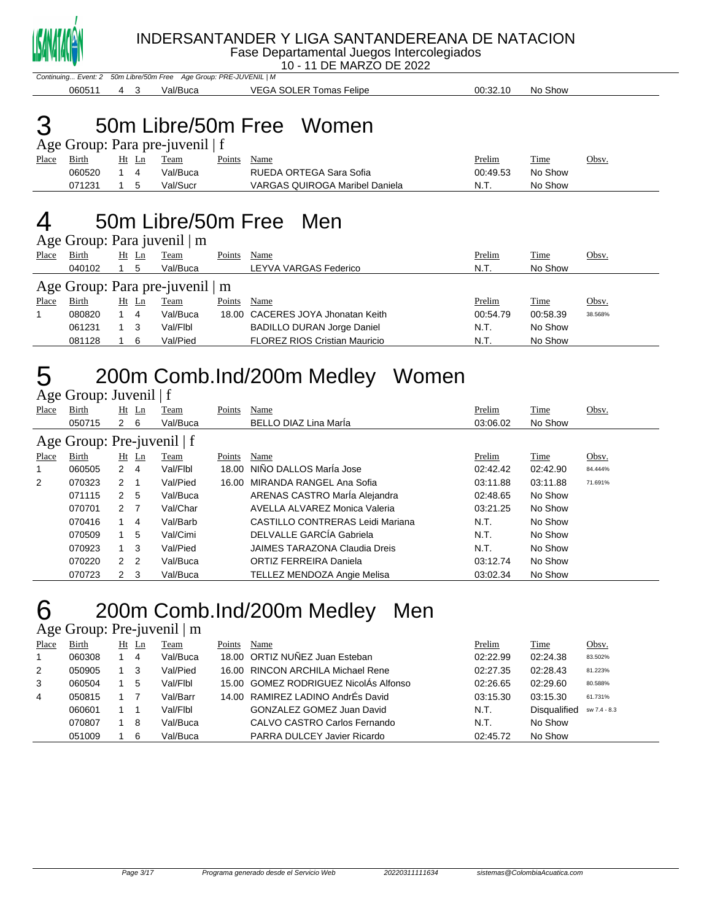

Fase Departamental Juegos Intercolegiados

10 - 11 DE MARZO DE 2022

Continuing... Event: 2 50m Libre/50m Free Age Group: PRE-JUVENIL | M 4 3 Val/Buca VEGA SOLER Tomas Felipe 00:32.10 No Show

# 50m Libre/50m Free Women

|              | Age Group: Para pre-juvenil   f |           |  |          |        |                                |          |         |       |  |  |  |
|--------------|---------------------------------|-----------|--|----------|--------|--------------------------------|----------|---------|-------|--|--|--|
| <b>Place</b> | Birth                           | Ht Ln     |  | Team     | Points | Name                           | Prelim   | Time    | Obsv. |  |  |  |
|              | 060520                          | 14        |  | Val/Buca |        | RUEDA ORTEGA Sara Sofia        | 00:49.53 | No Show |       |  |  |  |
|              | 071231                          | $1\quad5$ |  | Val/Sucr |        | VARGAS QUIROGA Maribel Daniela | N.T.     | No Show |       |  |  |  |

### 50m Libre/50m Free Men

Age Group: Para juvenil | m

|       | $1.80$ Oroup. I did $10$ verm $1\,\mathrm{m}$ |  |         |             |        |                                      |          |             |         |  |  |  |  |
|-------|-----------------------------------------------|--|---------|-------------|--------|--------------------------------------|----------|-------------|---------|--|--|--|--|
| Place | <b>Birth</b>                                  |  | $Ht$ Ln | <b>Team</b> | Points | Name                                 | Prelim   | <u>Time</u> | Obsv.   |  |  |  |  |
|       | 040102                                        |  | 5       | Val/Buca    |        | LEYVA VARGAS Federico                | N.T.     | No Show     |         |  |  |  |  |
|       | Age Group: Para pre-juvenil   m               |  |         |             |        |                                      |          |             |         |  |  |  |  |
| Place | Birth                                         |  | Ht Ln   | Team        | Points | Name                                 | Prelim   | Time        | Obsv.   |  |  |  |  |
|       | 080820                                        |  | 4       | Val/Buca    |        | 18.00 CACERES JOYA Jhonatan Keith    | 00:54.79 | 00:58.39    | 38.568% |  |  |  |  |
|       | 061231                                        |  | - 3     | Val/Flbl    |        | <b>BADILLO DURAN Jorge Daniel</b>    | N.T.     | No Show     |         |  |  |  |  |
|       | 081128                                        |  | 6       | Val/Pied    |        | <b>FLOREZ RIOS Cristian Mauricio</b> | N.T.     | No Show     |         |  |  |  |  |
|       |                                               |  |         |             |        |                                      |          |             |         |  |  |  |  |

# 200m Comb.Ind/200m Medley Women

Age Group: Juvenil | f

| Place                      | Birth  |                | $Ht$ Ln | Team     | Points | Name                             | Prelim   | Time     | Obsv.   |  |  |
|----------------------------|--------|----------------|---------|----------|--------|----------------------------------|----------|----------|---------|--|--|
|                            | 050715 | 2              | 6       | Val/Buca |        | <b>BELLO DIAZ Lina Maria</b>     | 03:06.02 | No Show  |         |  |  |
| Age Group: Pre-juvenil   f |        |                |         |          |        |                                  |          |          |         |  |  |
| Place                      | Birth  | Ht             | Ln      | Team     | Points | Name                             | Prelim   | Time     | Obsv.   |  |  |
| 1                          | 060505 | $\mathbf{2}$   | -4      | Val/Flbl |        | 18.00 NIÑO DALLOS MarÍa Jose     | 02:42.42 | 02:42.90 | 84.444% |  |  |
| $\overline{2}$             | 070323 | $2 \quad 1$    |         | Val/Pied |        | 16.00 MIRANDA RANGEL Ana Sofia   | 03:11.88 | 03:11.88 | 71.691% |  |  |
|                            | 071115 | 2              | 5       | Val/Buca |        | ARENAS CASTRO María Alejandra    | 02:48.65 | No Show  |         |  |  |
|                            | 070701 | 2 <sub>7</sub> |         | Val/Char |        | AVELLA ALVAREZ Monica Valeria    | 03:21.25 | No Show  |         |  |  |
|                            | 070416 | 1              | -4      | Val/Barb |        | CASTILLO CONTRERAS Leidi Mariana | N.T.     | No Show  |         |  |  |
|                            | 070509 | 1.             | 5       | Val/Cimi |        | DELVALLE GARCÍA Gabriela         | N.T.     | No Show  |         |  |  |
|                            | 070923 | $1 \quad 3$    |         | Val/Pied |        | JAIMES TARAZONA Claudia Dreis    | N.T.     | No Show  |         |  |  |
|                            | 070220 | 2 <sub>2</sub> |         | Val/Buca |        | ORTIZ FERREIRA Daniela           | 03:12.74 | No Show  |         |  |  |
|                            | 070723 | $2 \quad 3$    |         | Val/Buca |        | TELLEZ MENDOZA Angie Melisa      | 03:02.34 | No Show  |         |  |  |

### 200m Comb.Ind/200m Medley Men

Age Group: Pre-juvenil | m

| Place | Birth  | Ht Ln          | Team     | Points | Name                                  | Prelim   | Time                | Obsv.        |
|-------|--------|----------------|----------|--------|---------------------------------------|----------|---------------------|--------------|
|       | 060308 | $\overline{4}$ | Val/Buca |        | 18.00 ORTIZ NUÑEZ Juan Esteban        | 02:22.99 | 02:24.38            | 83.502%      |
| 2     | 050905 | - 3            | Val/Pied |        | 16.00 RINCON ARCHILA Michael Rene     | 02:27.35 | 02:28.43            | 81.223%      |
| 3     | 060504 | 5              | Val/Flbl |        | 15.00 GOMEZ RODRIGUEZ NicolAs Alfonso | 02:26.65 | 02:29.60            | 80.588%      |
| 4     | 050815 |                | Val/Barr |        | 14.00 RAMIREZ LADINO AndrÉs David     | 03:15.30 | 03:15.30            | 61.731%      |
|       | 060601 |                | Val/Flbl |        | GONZALEZ GOMEZ Juan David             | N.T.     | <b>Disqualified</b> | sw 7.4 - 8.3 |
|       | 070807 | -8             | Val/Buca |        | CALVO CASTRO Carlos Fernando          | N.T.     | No Show             |              |
|       | 051009 | 6              | Val/Buca |        | PARRA DULCEY Javier Ricardo           | 02:45.72 | No Show             |              |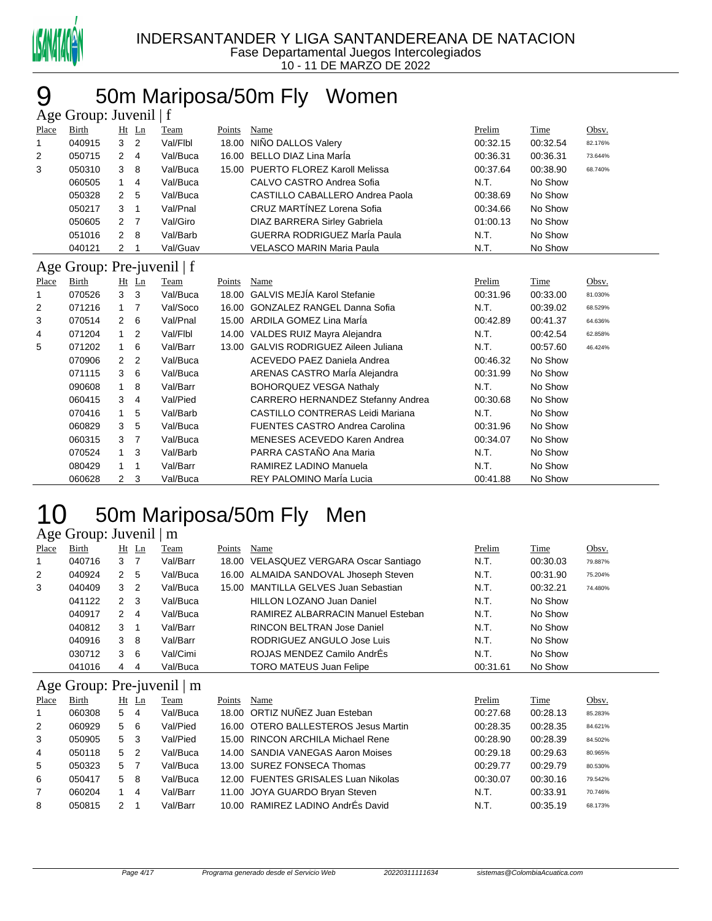

### 50m Mariposa/50m Fly Women

| Age Group: Juvenil   f |                            |                |                |          |        |                                         |          |          |         |  |  |
|------------------------|----------------------------|----------------|----------------|----------|--------|-----------------------------------------|----------|----------|---------|--|--|
| Place                  | Birth                      |                | Ht Ln          | Team     | Points | Name                                    | Prelim   | Time     | Obsv.   |  |  |
| 1                      | 040915                     | 3              | 2              | Val/Flbl | 18.00  | NIÑO DALLOS Valery                      | 00:32.15 | 00:32.54 | 82.176% |  |  |
| 2                      | 050715                     | $\overline{2}$ | 4              | Val/Buca |        | 16.00 BELLO DIAZ Lina Marla             | 00:36.31 | 00:36.31 | 73.644% |  |  |
| 3                      | 050310                     | 3              | 8              | Val/Buca |        | 15.00 PUERTO FLOREZ Karoll Melissa      | 00:37.64 | 00:38.90 | 68.740% |  |  |
|                        | 060505                     | $\mathbf{1}$   | 4              | Val/Buca |        | CALVO CASTRO Andrea Sofia               | N.T.     | No Show  |         |  |  |
|                        | 050328                     | $\overline{2}$ | 5              | Val/Buca |        | CASTILLO CABALLERO Andrea Paola         | 00:38.69 | No Show  |         |  |  |
|                        | 050217                     | 3              | 1              | Val/Pnal |        | CRUZ MARTÍNEZ Lorena Sofia              | 00:34.66 | No Show  |         |  |  |
|                        | 050605                     | $\overline{2}$ | 7              | Val/Giro |        | <b>DIAZ BARRERA Sirley Gabriela</b>     | 01:00.13 | No Show  |         |  |  |
|                        | 051016                     | $\overline{2}$ | 8              | Val/Barb |        | GUERRA RODRIGUEZ MarÍa Paula            | N.T.     | No Show  |         |  |  |
|                        | 040121                     | 2              |                | Val/Guav |        | <b>VELASCO MARIN Maria Paula</b>        | N.T.     | No Show  |         |  |  |
|                        | Age Group: Pre-juvenil   f |                |                |          |        |                                         |          |          |         |  |  |
| Place                  | Birth                      |                | Ht Ln          | Team     | Points | Name                                    | Prelim   | Time     | Obsv.   |  |  |
| 1                      | 070526                     | 3              | 3              | Val/Buca |        | 18.00 GALVIS MEJÍA Karol Stefanie       | 00:31.96 | 00:33.00 | 81.030% |  |  |
| 2                      | 071216                     | 1              | 7              | Val/Soco |        | 16.00 GONZALEZ RANGEL Danna Sofia       | N.T.     | 00:39.02 | 68.529% |  |  |
| 3                      | 070514                     | 2              | 6              | Val/Pnal |        | 15.00 ARDILA GOMEZ Lina Marla           | 00:42.89 | 00:41.37 | 64.636% |  |  |
| 4                      | 071204                     | 1              | $\overline{2}$ | Val/Flbl |        | 14.00 VALDES RUIZ Mayra Alejandra       | N.T.     | 00:42.54 | 62.858% |  |  |
| 5                      | 071202                     | 1              | 6              | Val/Barr |        | 13.00 GALVIS RODRIGUEZ Aileen Juliana   | N.T.     | 00:57.60 | 46.424% |  |  |
|                        | 070906                     | 2              | $\overline{2}$ | Val/Buca |        | ACEVEDO PAEZ Daniela Andrea             | 00:46.32 | No Show  |         |  |  |
|                        | 071115                     | 3              | 6              | Val/Buca |        | ARENAS CASTRO María Alejandra           | 00:31.99 | No Show  |         |  |  |
|                        | 090608                     | 1              | 8              | Val/Barr |        | <b>BOHORQUEZ VESGA Nathaly</b>          | N.T.     | No Show  |         |  |  |
|                        | 060415                     | 3              | 4              | Val/Pied |        | CARRERO HERNANDEZ Stefanny Andrea       | 00:30.68 | No Show  |         |  |  |
|                        | 070416                     | $\mathbf{1}$   | 5              | Val/Barb |        | <b>CASTILLO CONTRERAS Leidi Mariana</b> | N.T.     | No Show  |         |  |  |
|                        | 060829                     | 3              | 5              | Val/Buca |        | <b>FUENTES CASTRO Andrea Carolina</b>   | 00:31.96 | No Show  |         |  |  |
|                        | 060315                     | 3              | 7              | Val/Buca |        | MENESES ACEVEDO Karen Andrea            | 00:34.07 | No Show  |         |  |  |
|                        | 070524                     | $\mathbf{1}$   | 3              | Val/Barb |        | PARRA CASTAÑO Ana Maria                 | N.T.     | No Show  |         |  |  |
|                        | 080429                     | 1              | 1              | Val/Barr |        | RAMIREZ LADINO Manuela                  | N.T.     | No Show  |         |  |  |
|                        | 060628                     | $\overline{2}$ | 3              | Val/Buca |        | REY PALOMINO MarÍa Lucia                | 00:41.88 | No Show  |         |  |  |

### 10 50m Mariposa/50m Fly Men Age Group: Juvenil | m

| Place          | <b>Birth</b>               |                  | $Ht$ Ln        | Team     | Points | Name                                   | Prelim   | Time     | Obsv.   |
|----------------|----------------------------|------------------|----------------|----------|--------|----------------------------------------|----------|----------|---------|
| 1              | 040716                     | $3 \overline{7}$ |                | Val/Barr |        | 18.00 VELASQUEZ VERGARA Oscar Santiago | N.T.     | 00:30.03 | 79.887% |
| 2              | 040924                     | $2^{\circ}$      | -5             | Val/Buca |        | 16.00 ALMAIDA SANDOVAL Jhoseph Steven  | N.T.     | 00:31.90 | 75.204% |
| 3              | 040409                     | 3                | $\overline{2}$ | Val/Buca | 15.00  | MANTILLA GELVES Juan Sebastian         | N.T.     | 00:32.21 | 74.480% |
|                | 041122                     | $\mathbf{2}$     | -3             | Val/Buca |        | <b>HILLON LOZANO Juan Daniel</b>       | N.T.     | No Show  |         |
|                | 040917                     | 2                | 4              | Val/Buca |        | RAMIREZ ALBARRACIN Manuel Esteban      | N.T.     | No Show  |         |
|                | 040812                     | 3                | -1             | Val/Barr |        | <b>RINCON BELTRAN Jose Daniel</b>      | N.T.     | No Show  |         |
|                | 040916                     | 3                | - 8            | Val/Barr |        | RODRIGUEZ ANGULO Jose Luis             | N.T.     | No Show  |         |
|                | 030712                     | 3                | -6             | Val/Cimi |        | ROJAS MENDEZ Camilo AndrÉs             | N.T.     | No Show  |         |
|                | 041016                     | 4                | 4              | Val/Buca |        | <b>TORO MATEUS Juan Felipe</b>         | 00:31.61 | No Show  |         |
|                | Age Group: Pre-juvenil   m |                  |                |          |        |                                        |          |          |         |
| <b>Place</b>   | Birth                      |                  | $Ht$ Ln        | Team     | Points | Name                                   | Prelim   | Time     | Obsv.   |
| 1              | 060308                     | 5.               | -4             | Val/Buca | 18.00  | ORTIZ NUÑEZ Juan Esteban               | 00:27.68 | 00:28.13 | 85.283% |
| $\overline{2}$ | 060929                     | 5 6              |                | Val/Pied | 16.00  | OTERO BALLESTEROS Jesus Martin         | 00:28.35 | 00:28.35 | 84.621% |
| 3              | 050905                     | 5 3              |                | Val/Pied | 15.00  | RINCON ARCHILA Michael Rene            | 00:28.90 | 00:28.39 | 84.502% |
| 4              | 050118                     | 5                | $\overline{2}$ | Val/Buca |        | 14.00 SANDIA VANEGAS Aaron Moises      | 00:29.18 | 00:29.63 | 80.965% |
| 5              | 050323                     | 5                | - 7            | Val/Buca |        | 13.00 SUREZ FONSECA Thomas             | 00:29.77 | 00:29.79 | 80.530% |
| 6              | 050417                     | 5                | -8             | Val/Buca | 12.00  | <b>FUENTES GRISALES Luan Nikolas</b>   | 00:30.07 | 00:30.16 | 79.542% |
| 7              | 060204                     | 1                | 4              | Val/Barr | 11.00  | JOYA GUARDO Bryan Steven               | N.T.     | 00:33.91 | 70.746% |
| 8              | 050815                     | 2                |                | Val/Barr |        | 10.00 RAMIREZ LADINO AndrEs David      | N.T.     | 00:35.19 | 68.173% |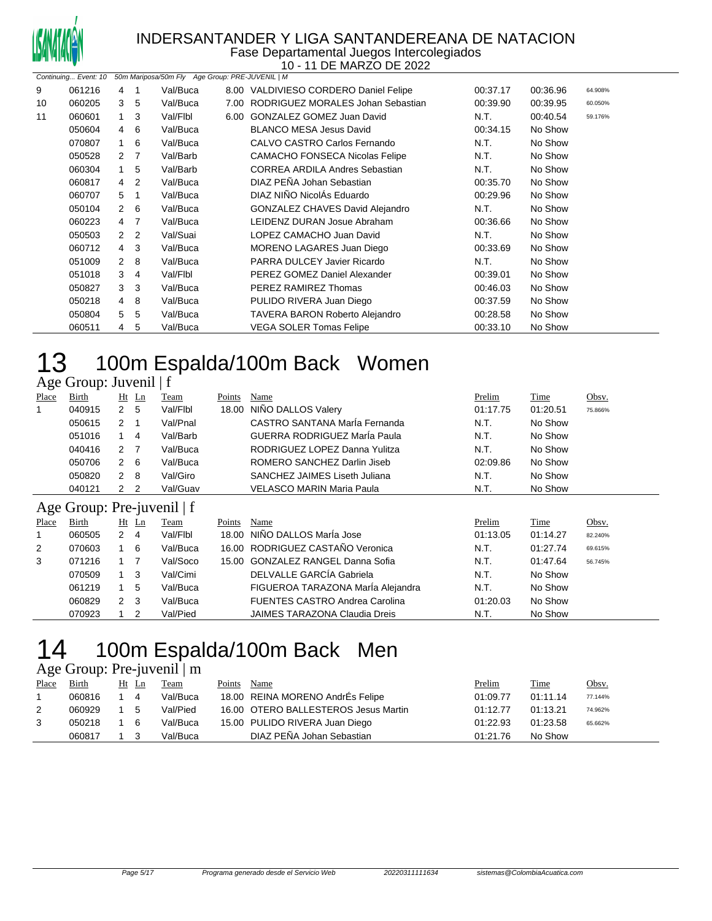

#### INDERSANTANDER Y LIGA SANTANDEREANA DE NATACION Fase Departamental Juegos Intercolegiados

10 - 11 DE MARZO DE 2022

|    |        |                |                | Continuing Event: 10 50m Mariposa/50m Fly Age Group: PRE-JUVENIL   M |                                        |          |          |         |
|----|--------|----------------|----------------|----------------------------------------------------------------------|----------------------------------------|----------|----------|---------|
| 9  | 061216 | 4              | 1              | Val/Buca                                                             | 8.00 VALDIVIESO CORDERO Daniel Felipe  | 00:37.17 | 00:36.96 | 64.908% |
| 10 | 060205 | 3              | 5              | Val/Buca                                                             | 7.00 RODRIGUEZ MORALES Johan Sebastian | 00:39.90 | 00:39.95 | 60.050% |
| 11 | 060601 | $\mathbf{1}$   | 3              | Val/Flbl                                                             | 6.00 GONZALEZ GOMEZ Juan David         | N.T.     | 00:40.54 | 59.176% |
|    | 050604 | 4 6            |                | Val/Buca                                                             | <b>BLANCO MESA Jesus David</b>         | 00:34.15 | No Show  |         |
|    | 070807 | 1              | -6             | Val/Buca                                                             | CALVO CASTRO Carlos Fernando           | N.T.     | No Show  |         |
|    | 050528 | 2              | $\overline{7}$ | Val/Barb                                                             | <b>CAMACHO FONSECA Nicolas Felipe</b>  | N.T.     | No Show  |         |
|    | 060304 | 1              | 5              | Val/Barb                                                             | <b>CORREA ARDILA Andres Sebastian</b>  | N.T.     | No Show  |         |
|    | 060817 | 4              | 2              | Val/Buca                                                             | DIAZ PEÑA Johan Sebastian              | 00:35.70 | No Show  |         |
|    | 060707 | 5              | -1             | Val/Buca                                                             | DIAZ NIÑO NicolÁs Eduardo              | 00:29.96 | No Show  |         |
|    | 050104 | $\mathbf{2}$   | -6             | Val/Buca                                                             | GONZALEZ CHAVES David Alejandro        | N.T.     | No Show  |         |
|    | 060223 | $\overline{4}$ | - 7            | Val/Buca                                                             | LEIDENZ DURAN Josue Abraham            | 00:36.66 | No Show  |         |
|    | 050503 | $\mathbf{2}$   | $\overline{2}$ | Val/Suai                                                             | LOPEZ CAMACHO Juan David               | N.T.     | No Show  |         |
|    | 060712 | 4 3            |                | Val/Buca                                                             | MORENO LAGARES Juan Diego              | 00:33.69 | No Show  |         |
|    | 051009 | $\mathbf{2}$   | -8             | Val/Buca                                                             | PARRA DULCEY Javier Ricardo            | N.T.     | No Show  |         |
|    | 051018 | 3              | 4              | Val/Flbl                                                             | PEREZ GOMEZ Daniel Alexander           | 00:39.01 | No Show  |         |
|    | 050827 | 3              | 3              | Val/Buca                                                             | PEREZ RAMIREZ Thomas                   | 00:46.03 | No Show  |         |
|    | 050218 | 4              | 8              | Val/Buca                                                             | PULIDO RIVERA Juan Diego               | 00:37.59 | No Show  |         |
|    | 050804 | 5              | 5              | Val/Buca                                                             | TAVERA BARON Roberto Alejandro         | 00:28.58 | No Show  |         |
|    | 060511 | 4              | 5              | Val/Buca                                                             | <b>VEGA SOLER Tomas Felipe</b>         | 00:33.10 | No Show  |         |
|    |        |                |                |                                                                      |                                        |          |          |         |

### 13 100m Espalda/100m Back Women Age Group: Juvenil | f

| ب     | $\overline{ }$             |                      |                |             |               |                                       |               |             |         |
|-------|----------------------------|----------------------|----------------|-------------|---------------|---------------------------------------|---------------|-------------|---------|
| Place | Birth                      |                      | $Ht$ Ln        | Team        | Points        | Name                                  | Prelim        | Time        | Obsv.   |
| 1     | 040915                     | $\mathbf{2}$         | -5             | Val/Flbl    | 18.00         | NIÑO DALLOS Valery                    | 01:17.75      | 01:20.51    | 75.866% |
|       | 050615                     | $\mathbf{2}$         |                | Val/Pnal    |               | CASTRO SANTANA MarÍa Fernanda         | N.T.          | No Show     |         |
|       | 051016                     |                      | $\overline{4}$ | Val/Barb    |               | GUERRA RODRIGUEZ María Paula          | N.T.          | No Show     |         |
|       | 040416                     | 2 7                  |                | Val/Buca    |               | RODRIGUEZ LOPEZ Danna Yulitza         | N.T.          | No Show     |         |
|       | 050706                     | $\mathbf{2}^{\circ}$ | - 6            | Val/Buca    |               | ROMERO SANCHEZ Darlin Jiseb           | 02:09.86      | No Show     |         |
|       | 050820                     | $\overline{2}$       | - 8            | Val/Giro    |               | SANCHEZ JAIMES Liseth Juliana         | N.T.          | No Show     |         |
|       | 040121                     | $\mathbf{2}$         | $\overline{2}$ | Val/Guav    |               | VELASCO MARIN Maria Paula             | N.T.          | No Show     |         |
|       | Age Group: Pre-juvenil   f |                      |                |             |               |                                       |               |             |         |
| Place | Birth                      |                      | $Ht$ Ln        | <b>Team</b> | <b>Points</b> | Name                                  | <b>Prelim</b> | <b>Time</b> | Obsv.   |
| 1     | 060505                     | $2 \quad 4$          |                | Val/Flbl    | 18.00         | NIÑO DALLOS María Jose                | 01:13.05      | 01:14.27    | 82.240% |
| 2     | 070603                     | $1\quad 6$           |                | Val/Buca    |               | 16.00 RODRIGUEZ CASTAÑO Veronica      | N.T.          | 01:27.74    | 69.615% |
| 3     | 071216                     | $1 \quad 7$          |                | Val/Soco    | 15.00         | <b>GONZALEZ RANGEL Danna Sofia</b>    | N.T.          | 01:47.64    | 56.745% |
|       | 070509                     | 1                    | -3             | Val/Cimi    |               | DELVALLE GARCÍA Gabriela              | N.T.          | No Show     |         |
|       | 061219                     |                      | 5              | Val/Buca    |               | FIGUEROA TARAZONA MarÍa Alejandra     | N.T.          | No Show     |         |
|       | 060829                     | $\mathbf{2}$         | - 3            | Val/Buca    |               | <b>FUENTES CASTRO Andrea Carolina</b> | 01:20.03      | No Show     |         |
|       | 070923                     |                      | 2              | Val/Pied    |               | <b>JAIMES TARAZONA Claudia Dreis</b>  | N.T.          | No Show     |         |

# 14 100m Espalda/100m Back Men

|                |        |             |       | Age Group: Pre-juvenil $\mid$ m |        |                                      |          |          |         |
|----------------|--------|-------------|-------|---------------------------------|--------|--------------------------------------|----------|----------|---------|
| Place          | Birth  |             | Ht Ln | Team                            | Points | Name                                 | Prelim   | Time     | Obsv.   |
|                | 060816 | $1 \quad 4$ |       | Val/Buca                        |        | 18.00 REINA MORENO AndrÉs Felipe     | 01:09.77 | 01:11.14 | 77.144% |
| $\overline{2}$ | 060929 |             | 5     | Val/Pied                        |        | 16.00 OTERO BALLESTEROS Jesus Martin | 01:12.77 | 01:13.21 | 74.962% |
| 3              | 050218 |             | 6     | Val/Buca                        |        | 15.00 PULIDO RIVERA Juan Diego       | 01:22.93 | 01:23.58 | 65.662% |
|                | 060817 |             |       | Val/Buca                        |        | DIAZ PEÑA Johan Sebastian            | 01:21.76 | No Show  |         |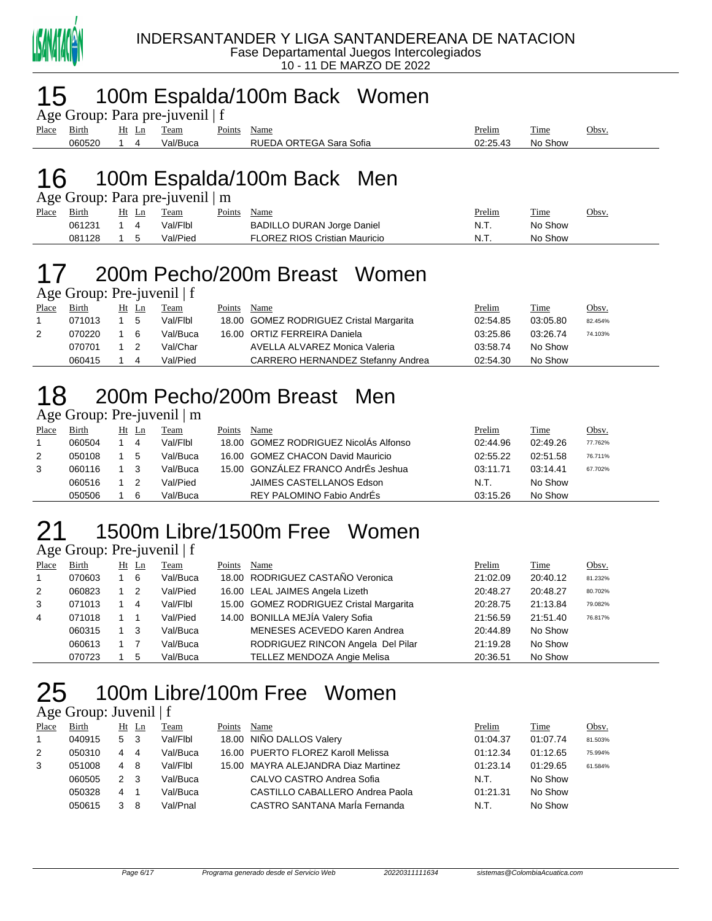

### 100m Espalda/100m Back Women

|  | Age Group: Para pre-juvenil   f |  |
|--|---------------------------------|--|
|  |                                 |  |

| -     |                         |                | . .      |                         |                                                |          |                      |      |
|-------|-------------------------|----------------|----------|-------------------------|------------------------------------------------|----------|----------------------|------|
| Place | $\sim$ $\cdot$<br>Birth | <u>Ht</u><br>≖ | l'eam    | $\sim$ $\sim$<br>oints' | Name                                           | Prelim   | $\mathbf{r}$<br>Time | Obsv |
|       | 060520                  |                | 'al/Buca |                         | RUE<br>Sofia<br>ΩR<br>DА<br>Sara<br>$H = 0.14$ | 02:25.43 | Show<br>No           |      |
|       |                         |                |          |                         |                                                |          |                      |      |

### 100m Espalda/100m Back Men

| Age Group: Para pre-juvenil   m |  |  |
|---------------------------------|--|--|
|                                 |  |  |

| Place | Birth  | Ht | Team     | Points | Name                                 | Prelim | Time    | Obsv. |
|-------|--------|----|----------|--------|--------------------------------------|--------|---------|-------|
|       | 061231 |    | Val/Flbl |        | <b>BADILLO DURAN Jorge Daniel</b>    | N.T.   | No Show |       |
|       | 081128 |    | Val/Pied |        | <b>FLOREZ RIOS Cristian Mauricio</b> | N.T.   | No Show |       |

# 200m Pecho/200m Breast Women

Age Group: Pre-juvenil | f

| Place | Birth  | Ht Ln | Team     | Points | Name                                    | <u>Prelim</u> | <b>Time</b> | <u>Obsv.</u> |
|-------|--------|-------|----------|--------|-----------------------------------------|---------------|-------------|--------------|
|       | 071013 | 5     | Val/Flbl |        | 18.00 GOMEZ RODRIGUEZ Cristal Margarita | 02:54.85      | 03:05.80    | 82.454%      |
| 2     | 070220 | - 6   | Val/Buca |        | 16.00 ORTIZ FERREIRA Daniela            | 03:25.86      | 03:26.74    | 74.103%      |
|       | 070701 |       | Val/Char |        | AVELLA ALVAREZ Monica Valeria           | 03:58.74      | No Show     |              |
|       | 060415 |       | Val/Pied |        | CARRERO HERNANDEZ Stefanny Andrea       | 02:54.30      | No Show     |              |

# 200m Pecho/200m Breast Men

### Age Group: Pre-juvenil | m

| Place | Birth  | Ht | Ln | Team     | Points | Name                                  | Prelim   | Time     | Obsv.   |
|-------|--------|----|----|----------|--------|---------------------------------------|----------|----------|---------|
|       | 060504 |    | 4  | Val/Flbl |        | 18.00 GOMEZ RODRIGUEZ NicolAs Alfonso | 02:44.96 | 02:49.26 | 77.762% |
| 2     | 050108 |    | 5  | Val/Buca |        | 16.00 GOMEZ CHACON David Mauricio     | 02:55.22 | 02:51.58 | 76.711% |
| 3     | 060116 |    |    | Val/Buca |        | 15.00 GONZÁLEZ FRANCO AndrÉs Jeshua   | 03:11.71 | 03:14.41 | 67.702% |
|       | 060516 |    |    | Val/Pied |        | JAIMES CASTELLANOS Edson              | N.T.     | No Show  |         |
|       | 050506 |    | 6  | Val/Buca |        | REY PALOMINO Fabio AndrEs             | 03:15.26 | No Show  |         |

### 1500m Libre/1500m Free Women

 $\overline{Age}$  Group: Pre-juvenil | f

| Place          | <b>Birth</b> | $Ht$ Ln        | <b>Team</b> | Points | Name                                    | Prelim   | <b>Time</b> | Obsv.   |
|----------------|--------------|----------------|-------------|--------|-----------------------------------------|----------|-------------|---------|
| $\overline{1}$ | 070603       | 6              | Val/Buca    |        | 18.00 RODRIGUEZ CASTAÑO Veronica        | 21:02.09 | 20:40.12    | 81.232% |
| 2              | 060823       | $\overline{2}$ | Val/Pied    |        | 16.00 LEAL JAIMES Angela Lizeth         | 20:48.27 | 20:48.27    | 80.702% |
| 3              | 071013       | -4             | Val/Flbl    |        | 15.00 GOMEZ RODRIGUEZ Cristal Margarita | 20:28.75 | 21:13.84    | 79.082% |
| 4              | 071018       |                | Val/Pied    |        | 14.00 BONILLA MEJÍA Valery Sofia        | 21:56.59 | 21:51.40    | 76.817% |
|                | 060315       | - 3            | Val/Buca    |        | MENESES ACEVEDO Karen Andrea            | 20:44.89 | No Show     |         |
|                | 060613       |                | Val/Buca    |        | RODRIGUEZ RINCON Angela Del Pilar       | 21:19.28 | No Show     |         |
|                | 070723       | 5              | Val/Buca    |        | TELLEZ MENDOZA Angie Melisa             | 20:36.51 | No Show     |         |

# 100m Libre/100m Free Women

### Age Group: Juvenil | f

| Place | Birth  |     | Ht Ln | Team     | Points | Name                                | Prelim   | Time     | Obsv.   |
|-------|--------|-----|-------|----------|--------|-------------------------------------|----------|----------|---------|
|       | 040915 | 5   | - 3   | Val/Flbl |        | 18.00 NIÑO DALLOS Valery            | 01:04.37 | 01:07.74 | 81.503% |
| 2     | 050310 | 4   | 4     | Val/Buca |        | 16.00 PUERTO FLOREZ Karoll Melissa  | 01:12.34 | 01:12.65 | 75.994% |
| 3     | 051008 | 4   | -8    | Val/Flbl |        | 15.00 MAYRA ALEJANDRA Diaz Martinez | 01:23.14 | 01:29.65 | 61.584% |
|       | 060505 | 2 3 |       | Val/Buca |        | CALVO CASTRO Andrea Sofia           | N.T.     | No Show  |         |
|       | 050328 | 4   |       | Val/Buca |        | CASTILLO CABALLERO Andrea Paola     | 01:21.31 | No Show  |         |
|       | 050615 |     | 8     | Val/Pnal |        | CASTRO SANTANA María Fernanda       | N.T.     | No Show  |         |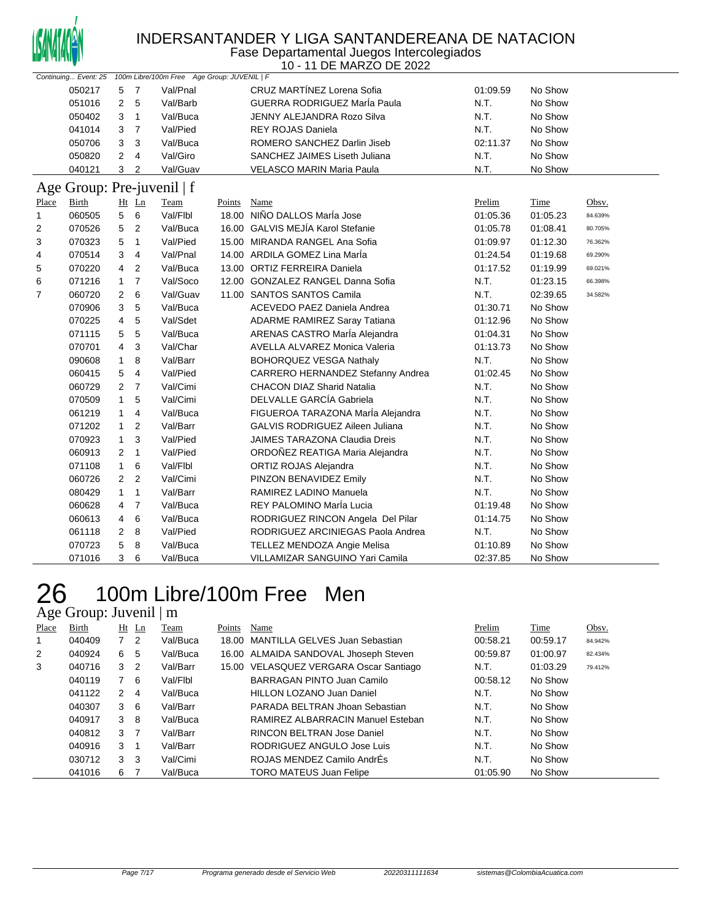

#### INDERSANTANDER Y LIGA SANTANDEREANA DE NATACION Fase Departamental Juegos Intercolegiados

10 - 11 DE MARZO DE 2022

| Continuing Event: 25 100m Libre/100m Free Age Group: JUVENIL   F |                            |                |                |          |             |                                        |          |          |         |  |
|------------------------------------------------------------------|----------------------------|----------------|----------------|----------|-------------|----------------------------------------|----------|----------|---------|--|
|                                                                  | 050217                     | 5              | $\overline{7}$ | Val/Pnal |             | CRUZ MARTÍNEZ Lorena Sofia             | 01:09.59 | No Show  |         |  |
|                                                                  | 051016                     | $\overline{2}$ | 5              | Val/Barb |             | GUERRA RODRIGUEZ MarÍa Paula           | N.T.     | No Show  |         |  |
|                                                                  | 050402                     | 3              | $\overline{1}$ | Val/Buca |             | JENNY ALEJANDRA Rozo Silva             | N.T.     | No Show  |         |  |
|                                                                  | 041014                     | 3              | $\overline{7}$ | Val/Pied |             | <b>REY ROJAS Daniela</b>               | N.T.     | No Show  |         |  |
|                                                                  | 050706                     | 3              | 3              | Val/Buca |             | ROMERO SANCHEZ Darlin Jiseb            | 02:11.37 | No Show  |         |  |
|                                                                  | 050820                     | $\overline{2}$ | $\overline{4}$ | Val/Giro |             | SANCHEZ JAIMES Liseth Juliana          | N.T.     | No Show  |         |  |
|                                                                  | 040121                     | 3              | $\overline{2}$ | Val/Guav |             | <b>VELASCO MARIN Maria Paula</b>       | N.T.     | No Show  |         |  |
|                                                                  | Age Group: Pre-juvenil   f |                |                |          |             |                                        |          |          |         |  |
| Place                                                            | Birth                      |                | $Ht$ Ln        | Team     | Points Name |                                        | Prelim   | Time     | Obsv.   |  |
| $\mathbf{1}$                                                     | 060505                     | 5              | 6              | Val/Flbl |             | 18.00 NIÑO DALLOS María Jose           | 01:05.36 | 01:05.23 | 84.639% |  |
| 2                                                                | 070526                     | 5              | $\overline{2}$ | Val/Buca |             | 16.00 GALVIS MEJÍA Karol Stefanie      | 01:05.78 | 01:08.41 | 80.705% |  |
| 3                                                                | 070323                     | 5              | $\mathbf{1}$   | Val/Pied |             | 15.00 MIRANDA RANGEL Ana Sofia         | 01:09.97 | 01:12.30 | 76.362% |  |
| 4                                                                | 070514                     | 3              | $\overline{4}$ | Val/Pnal |             | 14.00 ARDILA GOMEZ Lina MarÍa          | 01:24.54 | 01:19.68 | 69.290% |  |
| 5                                                                | 070220                     | 4              | $\overline{2}$ | Val/Buca |             | 13.00 ORTIZ FERREIRA Daniela           | 01:17.52 | 01:19.99 | 69.021% |  |
| 6                                                                | 071216                     | $\mathbf{1}$   | $\overline{7}$ | Val/Soco |             | 12.00 GONZALEZ RANGEL Danna Sofia      | N.T.     | 01:23.15 | 66.398% |  |
| 7                                                                | 060720                     | 2              | 6              | Val/Guav |             | 11.00 SANTOS SANTOS Camila             | N.T.     | 02:39.65 | 34.582% |  |
|                                                                  | 070906                     | 3              | 5              | Val/Buca |             | ACEVEDO PAEZ Daniela Andrea            | 01:30.71 | No Show  |         |  |
|                                                                  | 070225                     | 4              | 5              | Val/Sdet |             | ADARME RAMIREZ Saray Tatiana           | 01:12.96 | No Show  |         |  |
|                                                                  | 071115                     | 5              | 5              | Val/Buca |             | ARENAS CASTRO María Alejandra          | 01:04.31 | No Show  |         |  |
|                                                                  | 070701                     | 4              | 3              | Val/Char |             | <b>AVELLA ALVAREZ Monica Valeria</b>   | 01:13.73 | No Show  |         |  |
|                                                                  | 090608                     | 1              | 8              | Val/Barr |             | <b>BOHORQUEZ VESGA Nathaly</b>         | N.T.     | No Show  |         |  |
|                                                                  | 060415                     | 5              | $\overline{4}$ | Val/Pied |             | CARRERO HERNANDEZ Stefanny Andrea      | 01:02.45 | No Show  |         |  |
|                                                                  | 060729                     | $\overline{2}$ | $\overline{7}$ | Val/Cimi |             | <b>CHACON DIAZ Sharid Natalia</b>      | N.T.     | No Show  |         |  |
|                                                                  | 070509                     | 1              | 5              | Val/Cimi |             | DELVALLE GARCÍA Gabriela               | N.T.     | No Show  |         |  |
|                                                                  | 061219                     | $\mathbf{1}$   | 4              | Val/Buca |             | FIGUEROA TARAZONA MarÍa Alejandra      | N.T.     | No Show  |         |  |
|                                                                  | 071202                     | $\mathbf{1}$   | $\overline{2}$ | Val/Barr |             | <b>GALVIS RODRIGUEZ Aileen Juliana</b> | N.T.     | No Show  |         |  |
|                                                                  | 070923                     | $\mathbf{1}$   | 3              | Val/Pied |             | <b>JAIMES TARAZONA Claudia Dreis</b>   | N.T.     | No Show  |         |  |
|                                                                  | 060913                     | 2              | $\mathbf{1}$   | Val/Pied |             | ORDOÑEZ REATIGA Maria Alejandra        | N.T.     | No Show  |         |  |
|                                                                  | 071108                     | $\mathbf{1}$   | 6              | Val/Flbl |             | ORTIZ ROJAS Alejandra                  | N.T.     | No Show  |         |  |
|                                                                  | 060726                     | $\overline{2}$ | $\overline{2}$ | Val/Cimi |             | PINZON BENAVIDEZ Emily                 | N.T.     | No Show  |         |  |
|                                                                  | 080429                     | $\mathbf{1}$   | $\mathbf{1}$   | Val/Barr |             | RAMIREZ LADINO Manuela                 | N.T.     | No Show  |         |  |
|                                                                  | 060628                     | 4              | $\overline{7}$ | Val/Buca |             | REY PALOMINO MarÍa Lucia               | 01:19.48 | No Show  |         |  |
|                                                                  | 060613                     | 4              | 6              | Val/Buca |             | RODRIGUEZ RINCON Angela Del Pilar      | 01:14.75 | No Show  |         |  |
|                                                                  | 061118                     | 2              | 8              | Val/Pied |             | RODRIGUEZ ARCINIEGAS Paola Andrea      | N.T.     | No Show  |         |  |
|                                                                  | 070723                     | 5              | 8              | Val/Buca |             | <b>TELLEZ MENDOZA Angie Melisa</b>     | 01:10.89 | No Show  |         |  |
|                                                                  | 071016                     | 3              | 6              | Val/Buca |             | VILLAMIZAR SANGUINO Yari Camila        | 02:37.85 | No Show  |         |  |

### 100m Libre/100m Free Men Age Group: Juvenil | m

| Place | Birth  |              | $Ht$ Ln        | Team     | Points | Name                                   | Prelim   | Time     | Obsv.   |
|-------|--------|--------------|----------------|----------|--------|----------------------------------------|----------|----------|---------|
| 1     | 040409 | $7^{\circ}$  | 2              | Val/Buca |        | 18.00 MANTILLA GELVES Juan Sebastian   | 00:58.21 | 00:59.17 | 84.942% |
| 2     | 040924 | 6.           | 5              | Val/Buca |        | 16.00 ALMAIDA SANDOVAL Jhoseph Steven  | 00:59.87 | 01:00.97 | 82.434% |
| 3     | 040716 | 3            | $\overline{2}$ | Val/Barr |        | 15.00 VELASQUEZ VERGARA Oscar Santiago | N.T.     | 01:03.29 | 79.412% |
|       | 040119 | $\mathbf{7}$ | 6              | Val/Flbl |        | BARRAGAN PINTO Juan Camilo             | 00:58.12 | No Show  |         |
|       | 041122 | 2            | 4              | Val/Buca |        | HILLON LOZANO Juan Daniel              | N.T.     | No Show  |         |
|       | 040307 | 36           |                | Val/Barr |        | PARADA BELTRAN Jhoan Sebastian         | N.T.     | No Show  |         |
|       | 040917 | 3            | -8             | Val/Buca |        | RAMIREZ ALBARRACIN Manuel Esteban      | N.T.     | No Show  |         |
|       | 040812 | 3            | $\overline{7}$ | Val/Barr |        | RINCON BELTRAN Jose Daniel             | N.T.     | No Show  |         |
|       | 040916 | 3            |                | Val/Barr |        | RODRIGUEZ ANGULO Jose Luis             | N.T.     | No Show  |         |
|       | 030712 | 3            | 3              | Val/Cimi |        | ROJAS MENDEZ Camilo AndrÉs             | N.T.     | No Show  |         |
|       | 041016 | 6.           |                | Val/Buca |        | <b>TORO MATEUS Juan Felipe</b>         | 01:05.90 | No Show  |         |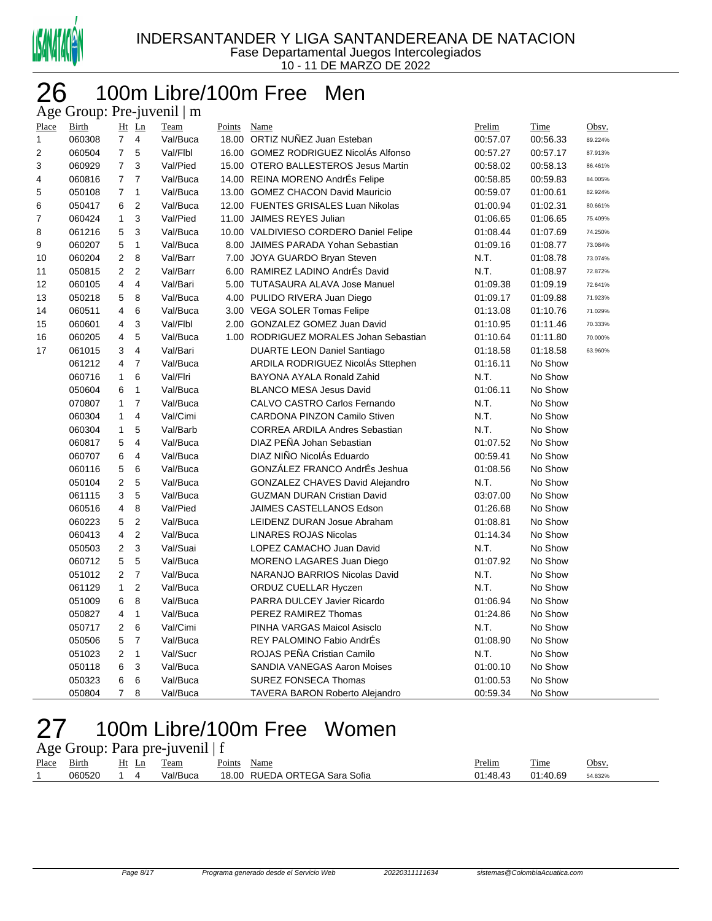

### 100m Libre/100m Free Men Age Group: Pre-juvenil | m

| Place | <b>Birth</b> |                | $Ht$ Ln                 | <b>Team</b> | Points | Name                                   | Prelim   | Time     | Obsv.   |
|-------|--------------|----------------|-------------------------|-------------|--------|----------------------------------------|----------|----------|---------|
| 1     | 060308       | $\overline{7}$ | 4                       | Val/Buca    |        | 18.00 ORTIZ NUÑEZ Juan Esteban         | 00:57.07 | 00:56.33 | 89.224% |
| 2     | 060504       | $\overline{7}$ | 5                       | Val/Flbl    |        | 16.00 GOMEZ RODRIGUEZ NicolAs Alfonso  | 00:57.27 | 00:57.17 | 87.913% |
| 3     | 060929       | $\overline{7}$ | 3                       | Val/Pied    |        | 15.00 OTERO BALLESTEROS Jesus Martin   | 00:58.02 | 00:58.13 | 86.461% |
| 4     | 060816       | $\overline{7}$ | $\overline{7}$          | Val/Buca    |        | 14.00 REINA MORENO AndrÉs Felipe       | 00:58.85 | 00:59.83 | 84.005% |
| 5     | 050108       | $\overline{7}$ | $\mathbf{1}$            | Val/Buca    |        | 13.00 GOMEZ CHACON David Mauricio      | 00:59.07 | 01:00.61 | 82.924% |
| 6     | 050417       | 6              | $\overline{2}$          | Val/Buca    |        | 12.00 FUENTES GRISALES Luan Nikolas    | 01:00.94 | 01:02.31 | 80.661% |
| 7     | 060424       | $\mathbf{1}$   | 3                       | Val/Pied    |        | 11.00 JAIMES REYES Julian              | 01:06.65 | 01:06.65 | 75.409% |
| 8     | 061216       | 5              | 3                       | Val/Buca    |        | 10.00 VALDIVIESO CORDERO Daniel Felipe | 01:08.44 | 01:07.69 | 74.250% |
| 9     | 060207       | 5              | $\mathbf{1}$            | Val/Buca    |        | 8.00 JAIMES PARADA Yohan Sebastian     | 01:09.16 | 01:08.77 | 73.084% |
| 10    | 060204       | $\overline{2}$ | 8                       | Val/Barr    |        | 7.00 JOYA GUARDO Bryan Steven          | N.T.     | 01:08.78 | 73.074% |
| 11    | 050815       | $\overline{2}$ | $\overline{2}$          | Val/Barr    |        | 6.00 RAMIREZ LADINO AndrÉs David       | N.T.     | 01:08.97 | 72.872% |
| 12    | 060105       | $\overline{4}$ | $\overline{\mathbf{4}}$ | Val/Bari    |        | 5.00 TUTASAURA ALAVA Jose Manuel       | 01:09.38 | 01:09.19 | 72.641% |
| 13    | 050218       | 5              | 8                       | Val/Buca    |        | 4.00 PULIDO RIVERA Juan Diego          | 01:09.17 | 01:09.88 | 71.923% |
| 14    | 060511       | $\overline{4}$ | 6                       | Val/Buca    |        | 3.00 VEGA SOLER Tomas Felipe           | 01:13.08 | 01:10.76 | 71.029% |
| 15    | 060601       | 4              | 3                       | Val/Flbl    |        | 2.00 GONZALEZ GOMEZ Juan David         | 01:10.95 | 01:11.46 | 70.333% |
| 16    | 060205       | 4              | 5                       | Val/Buca    |        | 1.00 RODRIGUEZ MORALES Johan Sebastian | 01:10.64 | 01:11.80 | 70.000% |
| 17    | 061015       | 3              | $\overline{\mathbf{4}}$ | Val/Bari    |        | <b>DUARTE LEON Daniel Santiago</b>     | 01:18.58 | 01:18.58 | 63.960% |
|       | 061212       | $\overline{4}$ | $\overline{7}$          | Val/Buca    |        | ARDILA RODRIGUEZ NicolÁs Sttephen      | 01:16.11 | No Show  |         |
|       | 060716       | $\mathbf{1}$   | 6                       | Val/Flri    |        | BAYONA AYALA Ronald Zahid              | N.T.     | No Show  |         |
|       | 050604       | 6              | $\mathbf{1}$            | Val/Buca    |        | <b>BLANCO MESA Jesus David</b>         | 01:06.11 | No Show  |         |
|       | 070807       | $\mathbf{1}$   | $\overline{7}$          | Val/Buca    |        | CALVO CASTRO Carlos Fernando           | N.T.     | No Show  |         |
|       | 060304       | $\mathbf{1}$   | 4                       | Val/Cimi    |        | <b>CARDONA PINZON Camilo Stiven</b>    | N.T.     | No Show  |         |
|       | 060304       | $\mathbf{1}$   | 5                       | Val/Barb    |        | <b>CORREA ARDILA Andres Sebastian</b>  | N.T.     | No Show  |         |
|       | 060817       | 5              | $\overline{4}$          | Val/Buca    |        | DIAZ PEÑA Johan Sebastian              | 01:07.52 | No Show  |         |
|       | 060707       | 6              | $\overline{4}$          | Val/Buca    |        | DIAZ NIÑO NicolAs Eduardo              | 00:59.41 | No Show  |         |
|       | 060116       | 5              | 6                       | Val/Buca    |        | GONZÁLEZ FRANCO AndrÉs Jeshua          | 01:08.56 | No Show  |         |
|       | 050104       | $\overline{2}$ | 5                       | Val/Buca    |        | GONZALEZ CHAVES David Alejandro        | N.T.     | No Show  |         |
|       | 061115       | 3              | $\mathbf 5$             | Val/Buca    |        | <b>GUZMAN DURAN Cristian David</b>     | 03:07.00 | No Show  |         |
|       | 060516       | 4              | 8                       | Val/Pied    |        | JAIMES CASTELLANOS Edson               | 01:26.68 | No Show  |         |
|       | 060223       | 5              | $\overline{c}$          | Val/Buca    |        | LEIDENZ DURAN Josue Abraham            | 01:08.81 | No Show  |         |
|       | 060413       | $\overline{4}$ | $\overline{c}$          | Val/Buca    |        | <b>LINARES ROJAS Nicolas</b>           | 01:14.34 | No Show  |         |
|       | 050503       | $\mathbf{2}$   | 3                       | Val/Suai    |        | LOPEZ CAMACHO Juan David               | N.T.     | No Show  |         |
|       | 060712       | 5              | $\mathbf 5$             | Val/Buca    |        | MORENO LAGARES Juan Diego              | 01:07.92 | No Show  |         |
|       | 051012       | $\mathbf{2}$   | $\overline{\mathbf{7}}$ | Val/Buca    |        | NARANJO BARRIOS Nicolas David          | N.T.     | No Show  |         |
|       | 061129       | $\mathbf{1}$   | $\boldsymbol{2}$        | Val/Buca    |        | ORDUZ CUELLAR Hyczen                   | N.T.     | No Show  |         |
|       | 051009       | 6              | 8                       | Val/Buca    |        | PARRA DULCEY Javier Ricardo            | 01:06.94 | No Show  |         |
|       | 050827       | 4              | $\mathbf{1}$            | Val/Buca    |        | PEREZ RAMIREZ Thomas                   | 01:24.86 | No Show  |         |
|       | 050717       | $\overline{2}$ | 6                       | Val/Cimi    |        | PINHA VARGAS Maicol Asisclo            | N.T.     | No Show  |         |
|       | 050506       | 5              | $\overline{7}$          | Val/Buca    |        | REY PALOMINO Fabio AndrÉs              | 01:08.90 | No Show  |         |
|       | 051023       | $\overline{2}$ | $\mathbf{1}$            | Val/Sucr    |        | ROJAS PEÑA Cristian Camilo             | N.T.     | No Show  |         |
|       | 050118       | 6              | 3                       | Val/Buca    |        | SANDIA VANEGAS Aaron Moises            | 01:00.10 | No Show  |         |
|       | 050323       | 6              | 6                       | Val/Buca    |        | SUREZ FONSECA Thomas                   | 01:00.53 | No Show  |         |
|       | 050804       | $\overline{7}$ | 8                       | Val/Buca    |        | <b>TAVERA BARON Roberto Alejandro</b>  | 00:59.34 | No Show  |         |

### 100m Libre/100m Free Women Age Group: Para pre-juvenil  $| f \rangle$

|       |        |       | $\frac{1}{2}$ $\frac{1}{2}$ $\frac{1}{2}$ $\frac{1}{2}$ $\frac{1}{2}$ $\frac{1}{2}$ $\frac{1}{2}$ $\frac{1}{2}$ $\frac{1}{2}$ $\frac{1}{2}$ $\frac{1}{2}$ $\frac{1}{2}$ $\frac{1}{2}$ $\frac{1}{2}$ $\frac{1}{2}$ $\frac{1}{2}$ $\frac{1}{2}$ $\frac{1}{2}$ $\frac{1}{2}$ $\frac{1}{2}$ $\frac{1}{2}$ $\frac{1}{2}$ |             |                               |               |          |         |
|-------|--------|-------|---------------------------------------------------------------------------------------------------------------------------------------------------------------------------------------------------------------------------------------------------------------------------------------------------------------------|-------------|-------------------------------|---------------|----------|---------|
| Place | Birth  | Ht Ln | Team                                                                                                                                                                                                                                                                                                                | Points Name |                               | <u>Prelim</u> | Time     | Obsv.   |
|       | 060520 | . 14  | Val/Buca                                                                                                                                                                                                                                                                                                            |             | 18.00 RUEDA ORTEGA Sara Sofia | 01:48.43      | 01:40.69 | 54.832% |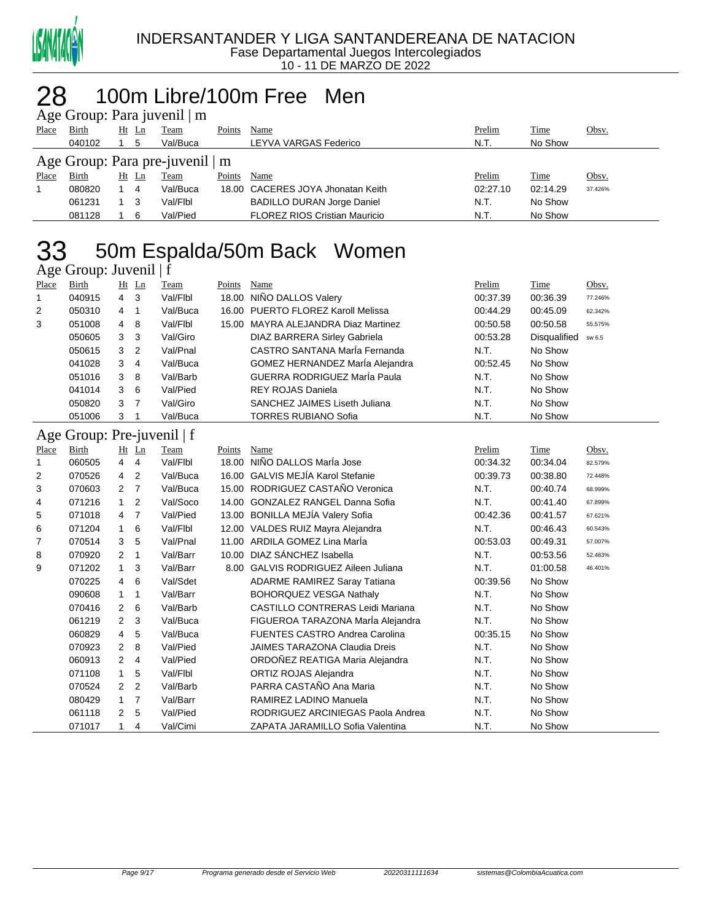

#### 100m Libre/100m Free Men  $\mathbf{p}$ . Dara juvenil  $\mathbf{p}$

|              | $\Delta$ ge Oroup. Fara juvenil   III |    |       |             |        |                                      |          |             |              |  |  |  |  |
|--------------|---------------------------------------|----|-------|-------------|--------|--------------------------------------|----------|-------------|--------------|--|--|--|--|
| Place        | <b>Birth</b>                          |    | Ht Ln | <b>Team</b> | Points | Name                                 | Prelim   | Time        | <u>Obsv.</u> |  |  |  |  |
|              | 040102                                |    | 5     | Val/Buca    |        | LEYVA VARGAS Federico                | N.T.     | No Show     |              |  |  |  |  |
|              | Age Group: Para pre-juvenil   m       |    |       |             |        |                                      |          |             |              |  |  |  |  |
| <b>Place</b> | <b>Birth</b>                          | Ht | Ln    | Team        | Points | Name                                 | Prelim   | <b>Time</b> | Obsv.        |  |  |  |  |
|              | 080820                                |    | -4    | Val/Buca    |        | 18.00 CACERES JOYA Jhonatan Keith    | 02:27.10 | 02:14.29    | 37.426%      |  |  |  |  |
|              | 061231                                |    | -3    | Val/Flbl    |        | <b>BADILLO DURAN Jorge Daniel</b>    | N.T.     | No Show     |              |  |  |  |  |
|              | 081128                                |    | 6     | Val/Pied    |        | <b>FLOREZ RIOS Cristian Mauricio</b> | N.T.     | No Show     |              |  |  |  |  |
|              |                                       |    |       |             |        |                                      |          |             |              |  |  |  |  |

# 33 50m Espalda/50m Back Women

| Age Group: Juvenil   f |                            |                |                |          |        |                                     |          |                     |         |  |  |
|------------------------|----------------------------|----------------|----------------|----------|--------|-------------------------------------|----------|---------------------|---------|--|--|
| Place                  | Birth                      |                | $Ht$ Ln        | Team     | Points | Name                                | Prelim   | Time                | Obsv.   |  |  |
| 1                      | 040915                     | $\overline{4}$ | -3             | Val/Flbl | 18.00  | NIÑO DALLOS Valery                  | 00:37.39 | 00:36.39            | 77.246% |  |  |
| 2                      | 050310                     | 4              | -1             | Val/Buca | 16.00  | PUERTO FLOREZ Karoll Melissa        | 00:44.29 | 00:45.09            | 62.342% |  |  |
| 3                      | 051008                     | $\overline{4}$ | 8              | Val/Flbl | 15.00  | MAYRA ALEJANDRA Diaz Martinez       | 00:50.58 | 00:50.58            | 55.575% |  |  |
|                        | 050605                     | 3              | -3             | Val/Giro |        | <b>DIAZ BARRERA Sirley Gabriela</b> | 00:53.28 | <b>Disqualified</b> | sw 6.5  |  |  |
|                        | 050615                     | 3              | $\overline{2}$ | Val/Pnal |        | CASTRO SANTANA María Fernanda       | N.T.     | No Show             |         |  |  |
|                        | 041028                     | 3              | 4              | Val/Buca |        | GOMEZ HERNANDEZ MarÍa Alejandra     | 00:52.45 | No Show             |         |  |  |
|                        | 051016                     | 3              | -8             | Val/Barb |        | GUERRA RODRIGUEZ MarÍa Paula        | N.T.     | No Show             |         |  |  |
|                        | 041014                     | 3              | - 6            | Val/Pied |        | REY ROJAS Daniela                   | N.T.     | No Show             |         |  |  |
|                        | 050820                     | 3              | $\overline{7}$ | Val/Giro |        | SANCHEZ JAIMES Liseth Juliana       | N.T.     | No Show             |         |  |  |
|                        | 051006                     | 3              |                | Val/Buca |        | <b>TORRES RUBIANO Sofia</b>         | N.T.     | No Show             |         |  |  |
|                        | Age Group: Pre-juvenil   f |                |                |          |        |                                     |          |                     |         |  |  |
| Place                  | Birth                      |                | $Ht$ Ln        | Team     | Points | Name                                | Prelim   | Time                | Obsv.   |  |  |
| 1                      | 060505                     | 4              | 4              | Val/Flbl | 18.00  | NIÑO DALLOS María Jose              | 00:34.32 | 00:34.04            | 82.579% |  |  |
| 2                      | 070526                     | 4              | 2              | Val/Buca |        | 16.00 GALVIS MEJÍA Karol Stefanie   | 00:39.73 | 00:38.80            | 72.448% |  |  |

| 1 | 060505 | 4              | 4              | Val/Flbl |       | 18.00 NIÑO DALLOS María Jose            | 00:34.32 | 00:34.04 | 82.579% |
|---|--------|----------------|----------------|----------|-------|-----------------------------------------|----------|----------|---------|
| 2 | 070526 | $\overline{4}$ | $\overline{2}$ | Val/Buca |       | 16.00 GALVIS MEJÍA Karol Stefanie       | 00:39.73 | 00:38.80 | 72.448% |
| 3 | 070603 | $\overline{2}$ | -7             | Val/Buca |       | 15.00 RODRIGUEZ CASTAÑO Veronica        | N.T.     | 00:40.74 | 68.999% |
| 4 | 071216 | $\overline{1}$ | -2             | Val/Soco |       | 14.00 GONZALEZ RANGEL Danna Sofia       | N.T.     | 00:41.40 | 67.899% |
| 5 | 071018 | 4 7            |                | Val/Pied |       | 13.00 BONILLA MEJÍA Valery Sofia        | 00:42.36 | 00:41.57 | 67.621% |
| 6 | 071204 |                | -6             | Val/Flbl |       | 12.00 VALDES RUIZ Mayra Alejandra       | N.T.     | 00:46.43 | 60.543% |
| 7 | 070514 | 3              | 5              | Val/Pnal |       | 11.00 ARDILA GOMEZ Lina MarÍa           | 00:53.03 | 00:49.31 | 57.007% |
| 8 | 070920 | 2              |                | Val/Barr | 10.00 | DIAZ SÁNCHEZ Isabella                   | N.T.     | 00:53.56 | 52.483% |
| 9 | 071202 | $\overline{1}$ | -3             | Val/Barr |       | 8.00 GALVIS RODRIGUEZ Aileen Juliana    | N.T.     | 01:00.58 | 46.401% |
|   | 070225 | $\overline{4}$ | - 6            | Val/Sdet |       | <b>ADARME RAMIREZ Saray Tatiana</b>     | 00:39.56 | No Show  |         |
|   | 090608 |                |                | Val/Barr |       | <b>BOHORQUEZ VESGA Nathaly</b>          | N.T.     | No Show  |         |
|   | 070416 | $\mathbf{2}$   | 6              | Val/Barb |       | <b>CASTILLO CONTRERAS Leidi Mariana</b> | N.T.     | No Show  |         |
|   | 061219 | $\mathbf{2}$   | -3             | Val/Buca |       | FIGUEROA TARAZONA María Alejandra       | N.T.     | No Show  |         |
|   | 060829 | 4              | -5             | Val/Buca |       | <b>FUENTES CASTRO Andrea Carolina</b>   | 00:35.15 | No Show  |         |
|   | 070923 | $\mathbf{2}$   | - 8            | Val/Pied |       | <b>JAIMES TARAZONA Claudia Dreis</b>    | N.T.     | No Show  |         |
|   | 060913 | $2 \quad 4$    |                | Val/Pied |       | ORDOÑEZ REATIGA Maria Alejandra         | N.T.     | No Show  |         |
|   | 071108 | $\overline{1}$ | -5             | Val/Flbl |       | ORTIZ ROJAS Alejandra                   | N.T.     | No Show  |         |
|   | 070524 | 2              | $\overline{2}$ | Val/Barb |       | PARRA CASTAÑO Ana Maria                 | N.T.     | No Show  |         |
|   | 080429 | $\mathbf{1}$   | 7              | Val/Barr |       | RAMIREZ LADINO Manuela                  | N.T.     | No Show  |         |
|   | 061118 | $\mathbf{2}$   | -5             | Val/Pied |       | RODRIGUEZ ARCINIEGAS Paola Andrea       | N.T.     | No Show  |         |
|   | 071017 |                | 4              | Val/Cimi |       | ZAPATA JARAMILLO Sofia Valentina        | N.T.     | No Show  |         |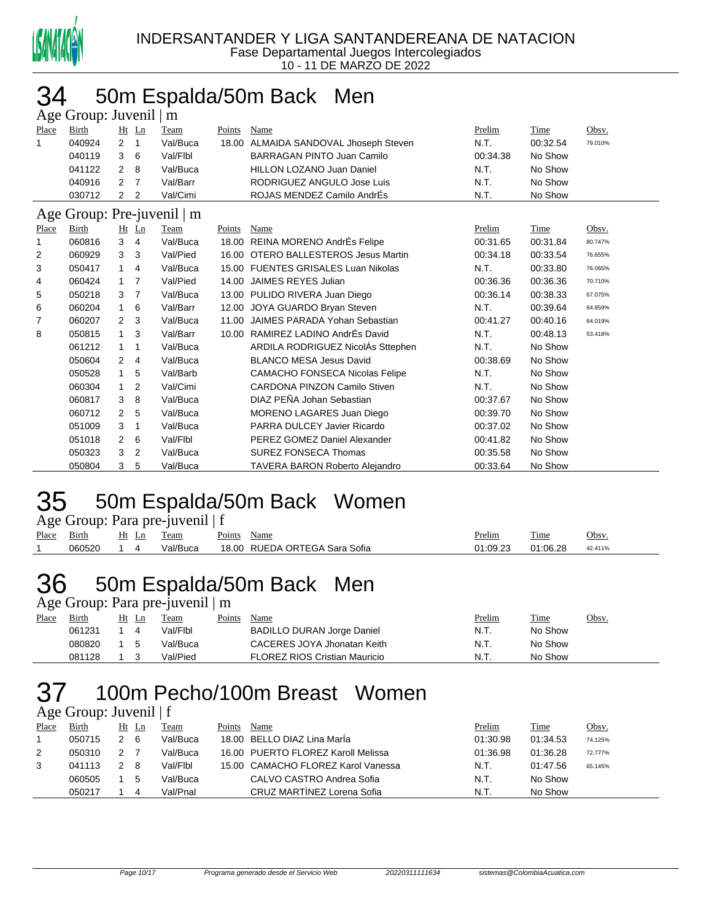

# 50m Espalda/50m Back Men

| Age Group: Juvenil   m               |        |              |                |          |        |                                       |          |          |         |  |  |  |
|--------------------------------------|--------|--------------|----------------|----------|--------|---------------------------------------|----------|----------|---------|--|--|--|
| Place                                | Birth  |              | $Ht$ Ln        | Team     | Points | Name                                  | Prelim   | Time     | Obsv.   |  |  |  |
| 1                                    | 040924 | 2            | $\mathbf{1}$   | Val/Buca |        | 18.00 ALMAIDA SANDOVAL Jhoseph Steven | N.T.     | 00:32.54 | 79.010% |  |  |  |
|                                      | 040119 | 3            | 6              | Val/Flbl |        | <b>BARRAGAN PINTO Juan Camilo</b>     | 00:34.38 | No Show  |         |  |  |  |
|                                      | 041122 | 2            | 8              | Val/Buca |        | <b>HILLON LOZANO Juan Daniel</b>      | N.T.     | No Show  |         |  |  |  |
|                                      | 040916 | 2            | $\overline{7}$ | Val/Barr |        | RODRIGUEZ ANGULO Jose Luis            | N.T.     | No Show  |         |  |  |  |
|                                      | 030712 | 2            | $\overline{2}$ | Val/Cimi |        | ROJAS MENDEZ Camilo AndrÉs            | N.T.     | No Show  |         |  |  |  |
| Age Group: Pre-juvenil  <br>$\mid$ m |        |              |                |          |        |                                       |          |          |         |  |  |  |
| Place                                | Birth  |              | Ht Ln          | Team     | Points | Name                                  | Prelim   | Time     | Obsv.   |  |  |  |
| 1                                    | 060816 | 3            | 4              | Val/Buca |        | 18.00 REINA MORENO AndrÉs Felipe      | 00:31.65 | 00:31.84 | 80.747% |  |  |  |
| 2                                    | 060929 | 3            | 3              | Val/Pied | 16.00  | <b>OTERO BALLESTEROS Jesus Martin</b> | 00:34.18 | 00:33.54 | 76.655% |  |  |  |
| 3                                    | 050417 | $\mathbf{1}$ | 4              | Val/Buca |        | 15.00 FUENTES GRISALES Luan Nikolas   | N.T.     | 00:33.80 | 76.065% |  |  |  |
| 4                                    | 060424 | 1            | 7              | Val/Pied | 14.00  | JAIMES REYES Julian                   | 00:36.36 | 00:36.36 | 70.710% |  |  |  |
| 5                                    | 050218 | 3            | 7              | Val/Buca | 13.00  | PULIDO RIVERA Juan Diego              | 00:36.14 | 00:38.33 | 67.075% |  |  |  |
| 6                                    | 060204 | $\mathbf{1}$ | 6              | Val/Barr | 12.00  | JOYA GUARDO Bryan Steven              | N.T.     | 00:39.64 | 64.859% |  |  |  |
| 7                                    | 060207 | 2            | 3              | Val/Buca | 11.00  | JAIMES PARADA Yohan Sebastian         | 00:41.27 | 00:40.16 | 64.019% |  |  |  |
| 8                                    | 050815 | 1            | 3              | Val/Barr |        | 10.00 RAMIREZ LADINO AndrÉs David     | N.T.     | 00:48.13 | 53.418% |  |  |  |
|                                      | 061212 | $\mathbf{1}$ | $\mathbf{1}$   | Val/Buca |        | ARDILA RODRIGUEZ NicolÁs Sttephen     | N.T.     | No Show  |         |  |  |  |
|                                      | 050604 | 2            | 4              | Val/Buca |        | <b>BLANCO MESA Jesus David</b>        | 00:38.69 | No Show  |         |  |  |  |
|                                      | 050528 | 1            | 5              | Val/Barb |        | <b>CAMACHO FONSECA Nicolas Felipe</b> | N.T.     | No Show  |         |  |  |  |
|                                      | 060304 | 1            | $\overline{2}$ | Val/Cimi |        | <b>CARDONA PINZON Camilo Stiven</b>   | N.T.     | No Show  |         |  |  |  |
|                                      | 060817 | 3            | 8              | Val/Buca |        | DIAZ PEÑA Johan Sebastian             | 00:37.67 | No Show  |         |  |  |  |
|                                      | 060712 | 2            | 5              | Val/Buca |        | <b>MORENO LAGARES Juan Diego</b>      | 00:39.70 | No Show  |         |  |  |  |
|                                      | 051009 | 3            | $\mathbf 1$    | Val/Buca |        | PARRA DULCEY Javier Ricardo           | 00:37.02 | No Show  |         |  |  |  |
|                                      | 051018 | 2            | 6              | Val/Flbl |        | PEREZ GOMEZ Daniel Alexander          | 00:41.82 | No Show  |         |  |  |  |
|                                      | 050323 | 3            | $\overline{2}$ | Val/Buca |        | <b>SUREZ FONSECA Thomas</b>           | 00:35.58 | No Show  |         |  |  |  |
|                                      | 050804 | 3            | 5              | Val/Buca |        | <b>TAVERA BARON Roberto Alejandro</b> | 00:33.64 | No Show  |         |  |  |  |

### 50m Espalda/50m Back Women

| Age Group: Para pre-juvenil   f |  |
|---------------------------------|--|
|---------------------------------|--|

| Place | - -<br>Birth | Ht<br>Ln | eam      | Points<br>Name                             | Prelim                     | m.<br>1 ime | Obsv.   |
|-------|--------------|----------|----------|--------------------------------------------|----------------------------|-------------|---------|
|       | 060520       |          | /al/Buca | ORTEGA.<br>Sofia<br>18.00<br>RUEDA<br>Sara | 01 09 23<br>. . <i>.</i> . | 01:06.28    | 42.411% |

# 36 50m Espalda/50m Back Men

#### Age Group: Para pre-juvenil | m

| Place | Birth  | Ht | Ln  | Team     | Points | Name                                 | Prelim | <b>Time</b> | <u>Obsv.</u> |
|-------|--------|----|-----|----------|--------|--------------------------------------|--------|-------------|--------------|
|       | 061231 |    |     | Val/Flbl |        | BADILLO DURAN Jorge Daniel           | N.T.   | No Show     |              |
|       | 080820 |    | . 5 | Val/Buca |        | CACERES JOYA Jhonatan Keith          | N.T.   | No Show     |              |
|       | 081128 |    |     | Val/Pied |        | <b>FLOREZ RIOS Cristian Mauricio</b> | N.T.   | No Show     |              |

# 100m Pecho/100m Breast Women

### Age Group: Juvenil | f

| Place | Birth  | $Ht$ Ln | Team     | Points | Name                               | Prelim   | Time     | <u>Obsv.</u> |
|-------|--------|---------|----------|--------|------------------------------------|----------|----------|--------------|
|       | 050715 | - 6     | Val/Buca |        | 18.00 BELLO DIAZ Lina Marla        | 01:30.98 | 01:34.53 | 74.125%      |
| 2     | 050310 |         | Val/Buca |        | 16.00 PUERTO FLOREZ Karoll Melissa | 01:36.98 | 01:36.28 | 72.777%      |
|       | 041113 | -8      | Val/Flbl |        | 15.00 CAMACHO FLOREZ Karol Vanessa | N.T.     | 01:47.56 | 65.145%      |
|       | 060505 | .5      | Val/Buca |        | CALVO CASTRO Andrea Sofia          | N.T.     | No Show  |              |
|       | 050217 | 4       | Val/Pnal |        | CRUZ MARTÍNEZ Lorena Sofia         | N.T.     | No Show  |              |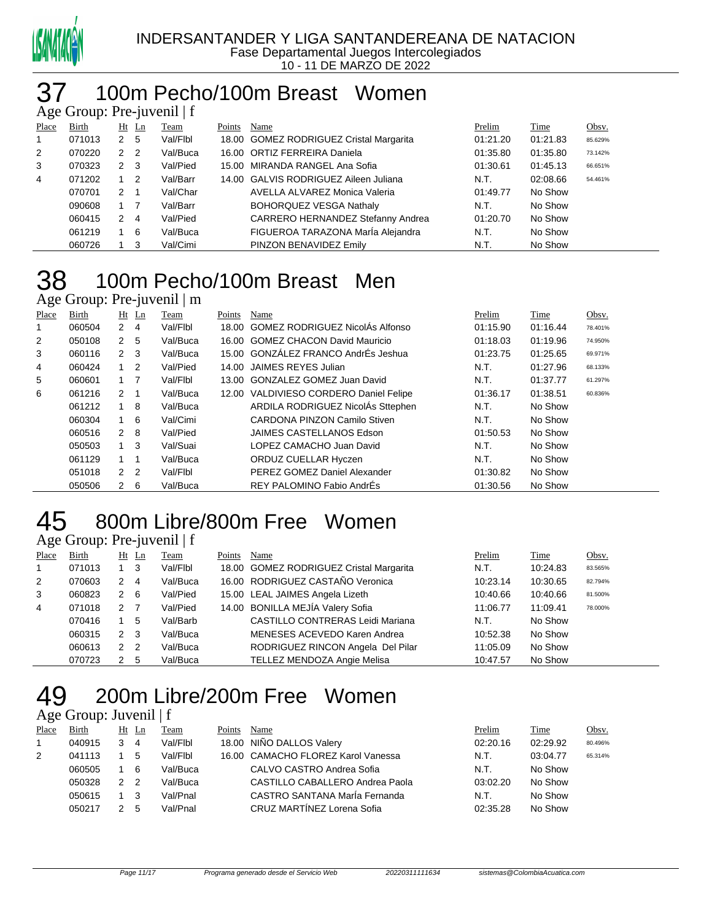

### 100m Pecho/100m Breast Women

| Age Group: Pre-juvenil $ f $ |        |                |   |          |        |                                         |          |          |         |  |  |
|------------------------------|--------|----------------|---|----------|--------|-----------------------------------------|----------|----------|---------|--|--|
| Place                        | Birth  | $Ht$ Ln        |   | Team     | Points | Name                                    | Prelim   | Time     | Obsv.   |  |  |
| $\mathbf{1}$                 | 071013 | 2 <sub>5</sub> |   | Val/Flbl |        | 18.00 GOMEZ RODRIGUEZ Cristal Margarita | 01:21.20 | 01:21.83 | 85.629% |  |  |
| 2                            | 070220 | 2 <sub>2</sub> |   | Val/Buca |        | 16.00 ORTIZ FERREIRA Daniela            | 01:35.80 | 01:35.80 | 73.142% |  |  |
| 3                            | 070323 | $2 \quad 3$    |   | Val/Pied |        | 15.00 MIRANDA RANGEL Ana Sofia          | 01:30.61 | 01:45.13 | 66.651% |  |  |
| 4                            | 071202 | $1\quad 2$     |   | Val/Barr |        | 14.00 GALVIS RODRIGUEZ Aileen Juliana   | N.T.     | 02:08.66 | 54.461% |  |  |
|                              | 070701 | $2 \quad 1$    |   | Val/Char |        | AVELLA ALVAREZ Monica Valeria           | 01:49.77 | No Show  |         |  |  |
|                              | 090608 | $1 \quad 7$    |   | Val/Barr |        | <b>BOHORQUEZ VESGA Nathaly</b>          | N.T.     | No Show  |         |  |  |
|                              | 060415 | $2 \quad 4$    |   | Val/Pied |        | CARRERO HERNANDEZ Stefanny Andrea       | 01:20.70 | No Show  |         |  |  |
|                              | 061219 |                | 6 | Val/Buca |        | FIGUEROA TARAZONA MarÍa Alejandra       | N.T.     | No Show  |         |  |  |
|                              | 060726 |                | 3 | Val/Cimi |        | PINZON BENAVIDEZ Emily                  | N.T.     | No Show  |         |  |  |

# 100m Pecho/100m Breast Men

Age Group: Pre-juvenil | m

| Place          | Birth  |                | $Ht$ Ln        | Team     | Points | Name                                   | Prelim   | Time     | Obsv.   |
|----------------|--------|----------------|----------------|----------|--------|----------------------------------------|----------|----------|---------|
| 1              | 060504 | 2              | $\overline{4}$ | Val/Flbl |        | 18.00 GOMEZ RODRIGUEZ NicolAs Alfonso  | 01:15.90 | 01:16.44 | 78.401% |
| $\overline{2}$ | 050108 | 2 <sub>5</sub> |                | Val/Buca |        | 16.00 GOMEZ CHACON David Mauricio      | 01:18.03 | 01:19.96 | 74.950% |
| 3              | 060116 | 2              | - 3            | Val/Buca |        | 15.00 GONZÁLEZ FRANCO AndrÉs Jeshua    | 01:23.75 | 01:25.65 | 69.971% |
| 4              | 060424 | $1\quad 2$     |                | Val/Pied |        | 14.00 JAIMES REYES Julian              | N.T.     | 01:27.96 | 68.133% |
| 5              | 060601 | $1 \quad 7$    |                | Val/Flbl |        | 13.00 GONZALEZ GOMEZ Juan David        | N.T.     | 01:37.77 | 61.297% |
| 6              | 061216 | 2              |                | Val/Buca |        | 12.00 VALDIVIESO CORDERO Daniel Felipe | 01:36.17 | 01:38.51 | 60.836% |
|                | 061212 | $1 \quad 8$    |                | Val/Buca |        | ARDILA RODRIGUEZ NicolÁs Sttephen      | N.T.     | No Show  |         |
|                | 060304 |                | - 6            | Val/Cimi |        | CARDONA PINZON Camilo Stiven           | N.T.     | No Show  |         |
|                | 060516 | 2              | - 8            | Val/Pied |        | JAIMES CASTELLANOS Edson               | 01:50.53 | No Show  |         |
|                | 050503 |                | -3             | Val/Suai |        | LOPEZ CAMACHO Juan David               | N.T.     | No Show  |         |
|                | 061129 |                |                | Val/Buca |        | ORDUZ CUELLAR Hyczen                   | N.T.     | No Show  |         |
|                | 051018 | 2 <sub>2</sub> |                | Val/Flbl |        | PEREZ GOMEZ Daniel Alexander           | 01:30.82 | No Show  |         |
|                | 050506 | $2 \quad 6$    |                | Val/Buca |        | REY PALOMINO Fabio AndrÉs              | 01:30.56 | No Show  |         |

# 800m Libre/800m Free Women

Age Group: Pre-juvenil | f

| Place          | Birth  |                | $Ht$ Ln                    | <b>Team</b> | Points | Name                                    | Prelim   | Time     | Obsv.   |
|----------------|--------|----------------|----------------------------|-------------|--------|-----------------------------------------|----------|----------|---------|
| $\overline{1}$ | 071013 |                | - 3                        | Val/Flbl    |        | 18.00 GOMEZ RODRIGUEZ Cristal Margarita | N.T.     | 10:24.83 | 83.565% |
| 2              | 070603 | 2              | $\overline{4}$             | Val/Buca    |        | 16.00 RODRIGUEZ CASTAÑO Veronica        | 10:23.14 | 10:30.65 | 82.794% |
| 3              | 060823 | $\mathbf{2}$   | - 6                        | Val/Pied    |        | 15.00 LEAL JAIMES Angela Lizeth         | 10:40.66 | 10:40.66 | 81.500% |
| $\overline{4}$ | 071018 | 2              |                            | Val/Pied    |        | 14.00 BONILLA MEJÍA Valery Sofia        | 11:06.77 | 11:09.41 | 78.000% |
|                | 070416 |                | 5                          | Val/Barb    |        | <b>CASTILLO CONTRERAS Leidi Mariana</b> | N.T.     | No Show  |         |
|                | 060315 | $\overline{2}$ | - 3                        | Val/Buca    |        | MENESES ACEVEDO Karen Andrea            | 10:52.38 | No Show  |         |
|                | 060613 | 2              | $\overline{\phantom{0}}^2$ | Val/Buca    |        | RODRIGUEZ RINCON Angela Del Pilar       | 11:05.09 | No Show  |         |
|                | 070723 |                | 5                          | Val/Buca    |        | TELLEZ MENDOZA Angie Melisa             | 10:47.57 | No Show  |         |

# 200m Libre/200m Free Women

### Age Group: Juvenil | f

| Place | Birth  |   | Ht Ln | Team     | Points | Name                               | Prelim   | Time     | Obsv.   |
|-------|--------|---|-------|----------|--------|------------------------------------|----------|----------|---------|
|       | 040915 |   | 4     | Val/Flbl |        | 18.00 NIÑO DALLOS Valery           | 02:20.16 | 02:29.92 | 80.496% |
| 2     | 041113 |   | 5     | Val/Flbl |        | 16.00 CAMACHO FLOREZ Karol Vanessa | N.T.     | 03:04.77 | 65.314% |
|       | 060505 |   | 6     | Val/Buca |        | CALVO CASTRO Andrea Sofia          | N.T.     | No Show  |         |
|       | 050328 | 2 | - 2   | Val/Buca |        | CASTILLO CABALLERO Andrea Paola    | 03:02.20 | No Show  |         |
|       | 050615 |   |       | Val/Pnal |        | CASTRO SANTANA Maria Fernanda      | N.T.     | No Show  |         |
|       | 050217 |   | 5     | Val/Pnal |        | CRUZ MARTÍNEZ Lorena Sofia         | 02:35.28 | No Show  |         |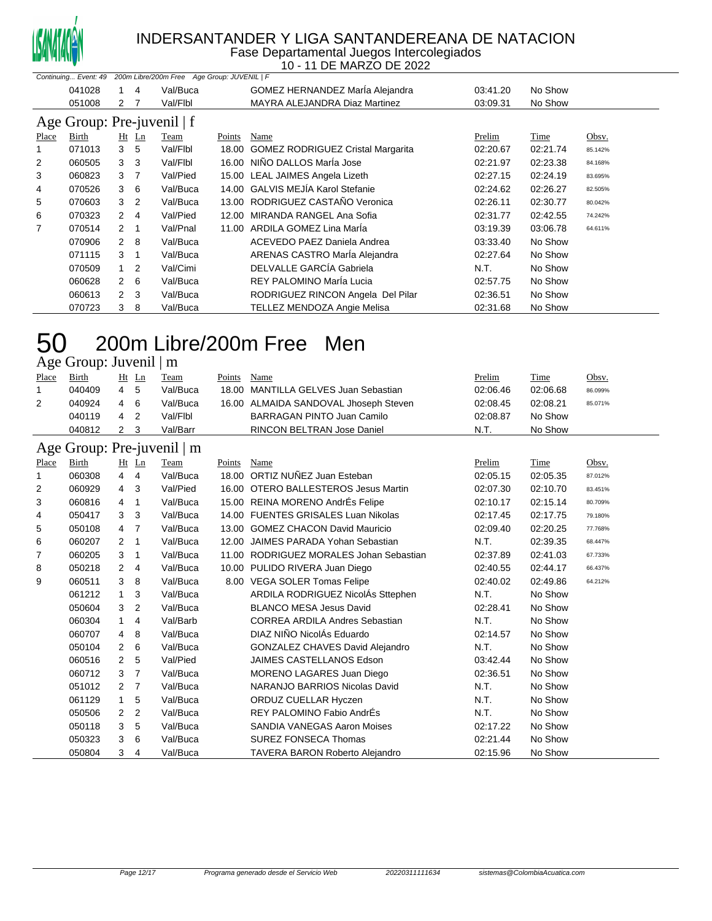

### INDERSANTANDER Y LIGA SANTANDEREANA DE NATACION

Fase Departamental Juegos Intercolegiados 10 - 11 DE MARZO DE 2022

| Continuing Event: 49<br>200m Libre/200m Free Age Group: JUVENIL   F |        |                |                |          |        |                                          |          |          |         |
|---------------------------------------------------------------------|--------|----------------|----------------|----------|--------|------------------------------------------|----------|----------|---------|
|                                                                     | 041028 |                | 4              | Val/Buca |        | GOMEZ HERNANDEZ Marla Alejandra          | 03:41.20 | No Show  |         |
|                                                                     | 051008 | 2              |                | Val/Flbl |        | <b>MAYRA ALEJANDRA Diaz Martinez</b>     | 03:09.31 | No Show  |         |
| Age Group: Pre-juvenil   f                                          |        |                |                |          |        |                                          |          |          |         |
| Place                                                               | Birth  |                | $Ht$ Ln        | Team     | Points | Name                                     | Prelim   | Time     | Obsv.   |
| 1                                                                   | 071013 | 3              | 5              | Val/Flbl | 18.00  | <b>GOMEZ RODRIGUEZ Cristal Margarita</b> | 02:20.67 | 02:21.74 | 85.142% |
| 2                                                                   | 060505 | 3              | 3              | Val/Flbl | 16.00  | NIÑO DALLOS MarÍa Jose                   | 02:21.97 | 02:23.38 | 84.168% |
| 3                                                                   | 060823 | 3              | -7             | Val/Pied | 15.00  | LEAL JAIMES Angela Lizeth                | 02:27.15 | 02:24.19 | 83.695% |
| 4                                                                   | 070526 | 3              | 6              | Val/Buca | 14.00  | <b>GALVIS MEJÍA Karol Stefanie</b>       | 02:24.62 | 02:26.27 | 82.505% |
| 5                                                                   | 070603 | 3              | 2              | Val/Buca | 13.00  | RODRIGUEZ CASTAÑO Veronica               | 02:26.11 | 02:30.77 | 80.042% |
| 6                                                                   | 070323 | 2              | $\overline{4}$ | Val/Pied | 12.00  | MIRANDA RANGEL Ana Sofia                 | 02:31.77 | 02:42.55 | 74.242% |
| 7                                                                   | 070514 | 2              | $\overline{1}$ | Val/Pnal | 11.00  | ARDILA GOMEZ Lina Maria                  | 03:19.39 | 03:06.78 | 64.611% |
|                                                                     | 070906 | $\mathbf{2}$   | - 8            | Val/Buca |        | ACEVEDO PAEZ Daniela Andrea              | 03:33.40 | No Show  |         |
|                                                                     | 071115 | 3              | 1              | Val/Buca |        | ARENAS CASTRO María Alejandra            | 02:27.64 | No Show  |         |
|                                                                     | 070509 |                | 2              | Val/Cimi |        | DELVALLE GARCÍA Gabriela                 | N.T.     | No Show  |         |
|                                                                     | 060628 | $\mathbf{2}$   | - 6            | Val/Buca |        | REY PALOMINO Maria Lucia                 | 02:57.75 | No Show  |         |
|                                                                     | 060613 | $\overline{2}$ | 3              | Val/Buca |        | RODRIGUEZ RINCON Angela Del Pilar        | 02:36.51 | No Show  |         |
|                                                                     | 070723 | 3              | 8              | Val/Buca |        | TELLEZ MENDOZA Angie Melisa              | 02:31.68 | No Show  |         |

### 200m Libre/200m Free Men Age Group: Juvenil | m

| Place          | <b>Birth</b> |                | Ht Ln          | Team                       | Points | Name                                    | Prelim   | Time     | Obsv.   |
|----------------|--------------|----------------|----------------|----------------------------|--------|-----------------------------------------|----------|----------|---------|
| 1              | 040409       | $\overline{4}$ | 5              | Val/Buca                   | 18.00  | MANTILLA GELVES Juan Sebastian          | 02:06.46 | 02:06.68 | 86.099% |
| $\overline{2}$ | 040924       | 4              | 6              | Val/Buca                   |        | 16.00 ALMAIDA SANDOVAL Jhoseph Steven   | 02:08.45 | 02:08.21 | 85.071% |
|                | 040119       | 4              | $\overline{2}$ | Val/Flbl                   |        | <b>BARRAGAN PINTO Juan Camilo</b>       | 02:08.87 | No Show  |         |
|                | 040812       | $\mathbf{2}$   | 3              | Val/Barr                   |        | RINCON BELTRAN Jose Daniel              | N.T.     | No Show  |         |
|                |              |                |                | Age Group: Pre-juvenil   m |        |                                         |          |          |         |
| Place          | Birth        |                | $Ht$ Ln        | Team                       | Points | Name                                    | Prelim   | Time     | Obsv.   |
| 1              | 060308       | 4              | 4              | Val/Buca                   |        | 18.00 ORTIZ NUÑEZ Juan Esteban          | 02:05.15 | 02:05.35 | 87.012% |
| 2              | 060929       | 4              | 3              | Val/Pied                   |        | 16.00 OTERO BALLESTEROS Jesus Martin    | 02:07.30 | 02:10.70 | 83.451% |
| 3              | 060816       | 4              | $\mathbf{1}$   | Val/Buca                   |        | 15.00 REINA MORENO AndrÉs Felipe        | 02:10.17 | 02:15.14 | 80.709% |
| 4              | 050417       | 3              | 3              | Val/Buca                   |        | 14.00 FUENTES GRISALES Luan Nikolas     | 02:17.45 | 02:17.75 | 79.180% |
| 5              | 050108       | 4              | $\overline{7}$ | Val/Buca                   |        | 13.00 GOMEZ CHACON David Mauricio       | 02:09.40 | 02:20.25 | 77.768% |
| 6              | 060207       | 2              | $\mathbf 1$    | Val/Buca                   |        | 12.00 JAIMES PARADA Yohan Sebastian     | N.T.     | 02:39.35 | 68.447% |
| 7              | 060205       | 3              | 1              | Val/Buca                   |        | 11.00 RODRIGUEZ MORALES Johan Sebastian | 02:37.89 | 02:41.03 | 67.733% |
| 8              | 050218       | 2              | 4              | Val/Buca                   |        | 10.00 PULIDO RIVERA Juan Diego          | 02:40.55 | 02:44.17 | 66.437% |
| 9              | 060511       | 3              | 8              | Val/Buca                   |        | 8.00 VEGA SOLER Tomas Felipe            | 02:40.02 | 02:49.86 | 64.212% |
|                | 061212       | 1              | 3              | Val/Buca                   |        | ARDILA RODRIGUEZ NicolÁs Sttephen       | N.T.     | No Show  |         |
|                | 050604       | 3              | 2              | Val/Buca                   |        | <b>BLANCO MESA Jesus David</b>          | 02:28.41 | No Show  |         |
|                | 060304       | $\mathbf{1}$   | 4              | Val/Barb                   |        | <b>CORREA ARDILA Andres Sebastian</b>   | N.T.     | No Show  |         |
|                | 060707       | 4              | 8              | Val/Buca                   |        | DIAZ NIÑO NicolÁs Eduardo               | 02:14.57 | No Show  |         |
|                | 050104       | 2              | 6              | Val/Buca                   |        | <b>GONZALEZ CHAVES David Alejandro</b>  | N.T.     | No Show  |         |
|                | 060516       | 2              | 5              | Val/Pied                   |        | <b>JAIMES CASTELLANOS Edson</b>         | 03:42.44 | No Show  |         |
|                | 060712       | 3              | $\overline{7}$ | Val/Buca                   |        | MORENO LAGARES Juan Diego               | 02:36.51 | No Show  |         |
|                | 051012       | 2              | 7              | Val/Buca                   |        | NARANJO BARRIOS Nicolas David           | N.T.     | No Show  |         |
|                | 061129       | 1              | 5              | Val/Buca                   |        | ORDUZ CUELLAR Hyczen                    | N.T.     | No Show  |         |
|                | 050506       | 2              | 2              | Val/Buca                   |        | REY PALOMINO Fabio AndrÉs               | N.T.     | No Show  |         |
|                | 050118       | 3              | 5              | Val/Buca                   |        | <b>SANDIA VANEGAS Aaron Moises</b>      | 02:17.22 | No Show  |         |
|                | 050323       | 3              | 6              | Val/Buca                   |        | <b>SUREZ FONSECA Thomas</b>             | 02:21.44 | No Show  |         |
|                | 050804       | 3              | 4              | Val/Buca                   |        | <b>TAVERA BARON Roberto Alejandro</b>   | 02:15.96 | No Show  |         |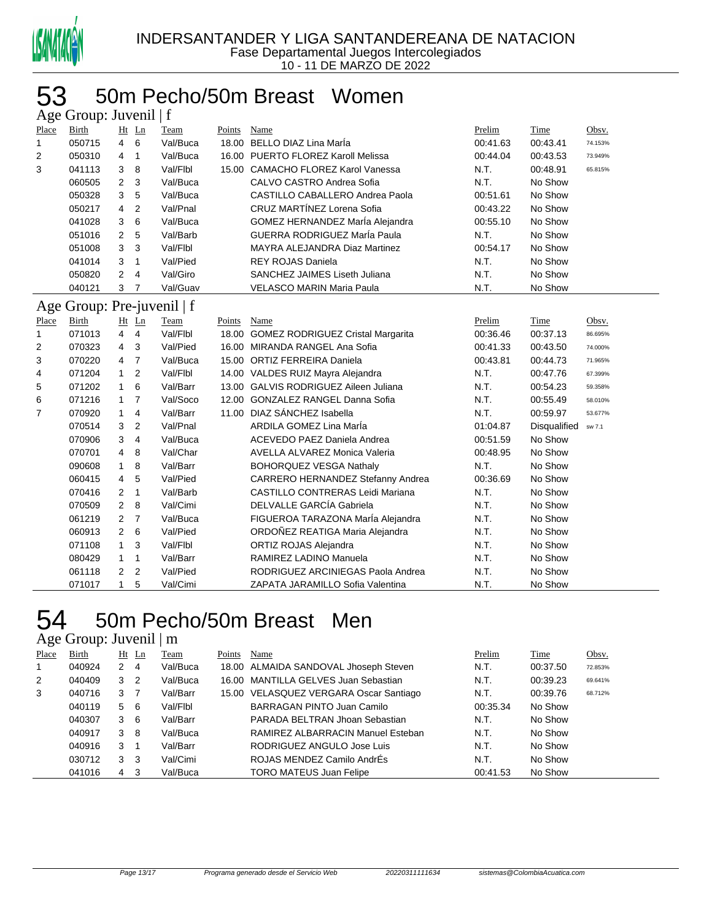

### 53 50m Pecho/50m Breast Women

| Age Group: Juvenil   f |                            |                |                |          |        |                                         |          |              |         |  |  |
|------------------------|----------------------------|----------------|----------------|----------|--------|-----------------------------------------|----------|--------------|---------|--|--|
| Place                  | Birth                      |                | $Ht$ Ln        | Team     | Points | Name                                    | Prelim   | Time         | Obsv.   |  |  |
| 1                      | 050715                     | 4              | 6              | Val/Buca |        | 18.00 BELLO DIAZ Lina MarÍa             | 00:41.63 | 00:43.41     | 74.153% |  |  |
| 2                      | 050310                     | 4              | $\mathbf{1}$   | Val/Buca |        | 16.00 PUERTO FLOREZ Karoll Melissa      | 00:44.04 | 00:43.53     | 73.949% |  |  |
| 3                      | 041113                     | 3              | 8              | Val/Flbl |        | 15.00 CAMACHO FLOREZ Karol Vanessa      | N.T.     | 00:48.91     | 65.815% |  |  |
|                        | 060505                     | 2              | 3              | Val/Buca |        | CALVO CASTRO Andrea Sofia               | N.T.     | No Show      |         |  |  |
|                        | 050328                     | 3              | 5              | Val/Buca |        | CASTILLO CABALLERO Andrea Paola         | 00:51.61 | No Show      |         |  |  |
|                        | 050217                     | 4              | $\overline{2}$ | Val/Pnal |        | CRUZ MARTÍNEZ Lorena Sofia              | 00:43.22 | No Show      |         |  |  |
|                        | 041028                     | 3              | 6              | Val/Buca |        | GOMEZ HERNANDEZ MarÍa Alejandra         | 00:55.10 | No Show      |         |  |  |
|                        | 051016                     | $\overline{2}$ | 5              | Val/Barb |        | GUERRA RODRIGUEZ MarÍa Paula            | N.T.     | No Show      |         |  |  |
|                        | 051008                     | 3              | 3              | Val/Flbl |        | MAYRA ALEJANDRA Diaz Martinez           | 00:54.17 | No Show      |         |  |  |
|                        | 041014                     | 3              | $\mathbf{1}$   | Val/Pied |        | <b>REY ROJAS Daniela</b>                | N.T.     | No Show      |         |  |  |
|                        | 050820                     | $\overline{2}$ | 4              | Val/Giro |        | SANCHEZ JAIMES Liseth Juliana           | N.T.     | No Show      |         |  |  |
|                        | 040121                     | 3              | $\overline{7}$ | Val/Guav |        | <b>VELASCO MARIN Maria Paula</b>        | N.T.     | No Show      |         |  |  |
|                        | Age Group: Pre-juvenil   f |                |                |          |        |                                         |          |              |         |  |  |
| Place                  | Birth                      |                | $Ht$ Ln        | Team     | Points | Name                                    | Prelim   | Time         | Obsv.   |  |  |
| 1                      | 071013                     | $\overline{4}$ | $\overline{4}$ | Val/Flbl |        | 18.00 GOMEZ RODRIGUEZ Cristal Margarita | 00:36.46 | 00:37.13     | 86.695% |  |  |
| 2                      | 070323                     | $\overline{4}$ | 3              | Val/Pied |        | 16.00 MIRANDA RANGEL Ana Sofia          | 00:41.33 | 00:43.50     | 74.000% |  |  |
| 3                      | 070220                     | $\overline{4}$ | $\overline{7}$ | Val/Buca |        | 15.00 ORTIZ FERREIRA Daniela            | 00:43.81 | 00:44.73     | 71.965% |  |  |
| 4                      | 071204                     | $\mathbf{1}$   | $\overline{2}$ | Val/Flbl |        | 14.00 VALDES RUIZ Mayra Alejandra       | N.T.     | 00:47.76     | 67.399% |  |  |
| 5                      | 071202                     | $\mathbf{1}$   | 6              | Val/Barr |        | 13.00 GALVIS RODRIGUEZ Aileen Juliana   | N.T.     | 00:54.23     | 59.358% |  |  |
| 6                      | 071216                     | $\mathbf{1}$   | $\overline{7}$ | Val/Soco |        | 12.00 GONZALEZ RANGEL Danna Sofia       | N.T.     | 00:55.49     | 58.010% |  |  |
| 7                      | 070920                     | $\mathbf{1}$   | 4              | Val/Barr |        | 11.00 DIAZ SÁNCHEZ Isabella             | N.T.     | 00:59.97     | 53.677% |  |  |
|                        | 070514                     | 3              | $\overline{2}$ | Val/Pnal |        | ARDILA GOMEZ Lina MarÍa                 | 01:04.87 | Disqualified | sw 7.1  |  |  |
|                        | 070906                     | 3              | 4              | Val/Buca |        | <b>ACEVEDO PAEZ Daniela Andrea</b>      | 00:51.59 | No Show      |         |  |  |
|                        | 070701                     | 4              | 8              | Val/Char |        | AVELLA ALVAREZ Monica Valeria           | 00:48.95 | No Show      |         |  |  |
|                        | 090608                     | $\mathbf{1}$   | 8              | Val/Barr |        | <b>BOHORQUEZ VESGA Nathaly</b>          | N.T.     | No Show      |         |  |  |
|                        | 060415                     | 4              | 5              | Val/Pied |        | CARRERO HERNANDEZ Stefanny Andrea       | 00:36.69 | No Show      |         |  |  |
|                        | 070416                     | 2              | $\mathbf{1}$   | Val/Barb |        | <b>CASTILLO CONTRERAS Leidi Mariana</b> | N.T.     | No Show      |         |  |  |
|                        | 070509                     | $\overline{2}$ | 8              | Val/Cimi |        | DELVALLE GARCÍA Gabriela                | N.T.     | No Show      |         |  |  |
|                        | 061219                     | $\overline{2}$ | $\overline{7}$ | Val/Buca |        | FIGUEROA TARAZONA MarÍa Alejandra       | N.T.     | No Show      |         |  |  |
|                        | 060913                     | $\overline{2}$ | 6              | Val/Pied |        | ORDOÑEZ REATIGA Maria Alejandra         | N.T.     | No Show      |         |  |  |
|                        | 071108                     | $\mathbf{1}$   | 3              | Val/Flbl |        | ORTIZ ROJAS Alejandra                   | N.T.     | No Show      |         |  |  |
|                        | 080429                     | 1              | $\mathbf{1}$   | Val/Barr |        | RAMIREZ LADINO Manuela                  | N.T.     | No Show      |         |  |  |
|                        | 061118                     | $\overline{2}$ | $\overline{2}$ | Val/Pied |        | RODRIGUEZ ARCINIEGAS Paola Andrea       | N.T.     | No Show      |         |  |  |
|                        | 071017                     | $\mathbf{1}$   | 5              | Val/Cimi |        | ZAPATA JARAMILLO Sofia Valentina        | N.T.     | No Show      |         |  |  |

### 50m Pecho/50m Breast Men 54 50m Pecl<br>Age Group: Juvenil | m

| Place | Birth  |                | Ht Ln | Team     | Points | Name                                   | Prelim   | Time     | Obsv.   |
|-------|--------|----------------|-------|----------|--------|----------------------------------------|----------|----------|---------|
|       | 040924 | $2 \quad 4$    |       | Val/Buca |        | 18.00 ALMAIDA SANDOVAL Jhoseph Steven  | N.T.     | 00:37.50 | 72.853% |
| 2     | 040409 | 3 <sub>2</sub> |       | Val/Buca |        | 16.00 MANTILLA GELVES Juan Sebastian   | N.T.     | 00:39.23 | 69.641% |
| 3     | 040716 | 3              |       | Val/Barr |        | 15.00 VELASQUEZ VERGARA Oscar Santiago | N.T.     | 00:39.76 | 68.712% |
|       | 040119 | 5 6            |       | Val/Flbl |        | BARRAGAN PINTO Juan Camilo             | 00:35.34 | No Show  |         |
|       | 040307 | $3\quad 6$     |       | Val/Barr |        | PARADA BELTRAN Jhoan Sebastian         | N.T.     | No Show  |         |
|       | 040917 | 3 8            |       | Val/Buca |        | RAMIREZ ALBARRACIN Manuel Esteban      | N.T.     | No Show  |         |
|       | 040916 | 3              |       | Val/Barr |        | RODRIGUEZ ANGULO Jose Luis             | N.T.     | No Show  |         |
|       | 030712 | 3              | -3    | Val/Cimi |        | ROJAS MENDEZ Camilo AndrEs             | N.T.     | No Show  |         |
|       | 041016 | 4              | -3    | Val/Buca |        | <b>TORO MATEUS Juan Felipe</b>         | 00:41.53 | No Show  |         |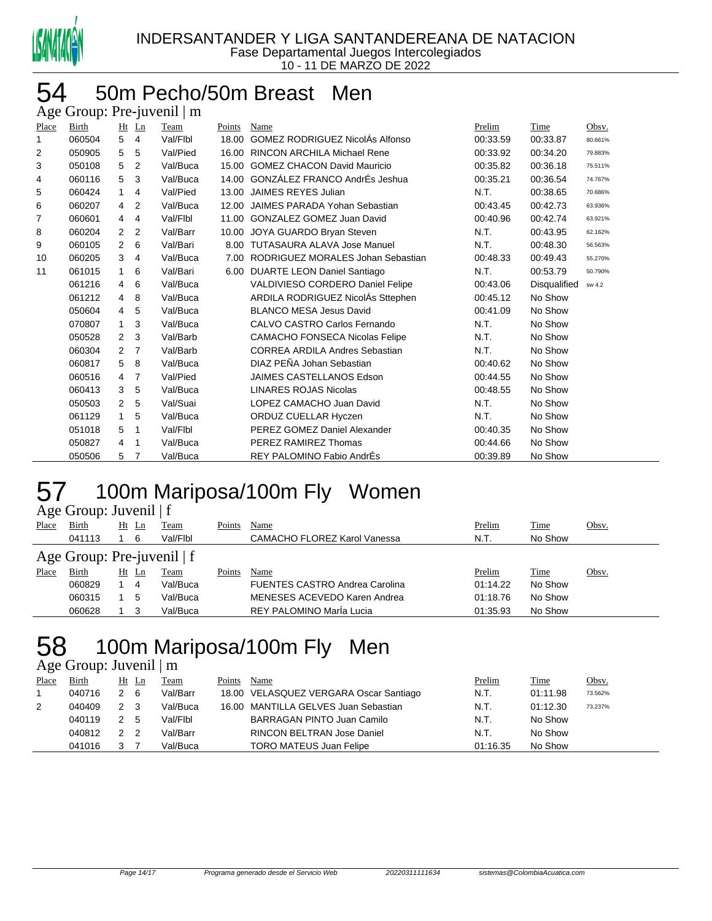

### 50m Pecho/50m Breast Men Age Group: Pre-juvenil | m

| 4.45  | $O104p$ . $110 \mu$ of $101 \mu$ |                |                |          |        |                                        |          |                     |         |
|-------|----------------------------------|----------------|----------------|----------|--------|----------------------------------------|----------|---------------------|---------|
| Place | Birth                            | $Ht$ Ln        |                | Team     | Points | <b>Name</b>                            | Prelim   | Time                | Obsv.   |
| 1     | 060504                           | 5              | $\overline{4}$ | Val/Flbl | 18.00  | <b>GOMEZ RODRIGUEZ NicolAs Alfonso</b> | 00:33.59 | 00:33.87            | 80.661% |
| 2     | 050905                           | 5              | 5              | Val/Pied | 16.00  | <b>RINCON ARCHILA Michael Rene</b>     | 00:33.92 | 00:34.20            | 79.883% |
| 3     | 050108                           | 5              | 2              | Val/Buca | 15.00  | <b>GOMEZ CHACON David Mauricio</b>     | 00:35.82 | 00:36.18            | 75.511% |
| 4     | 060116                           | 5              | 3              | Val/Buca | 14.00  | GONZÁLEZ FRANCO AndrÉs Jeshua          | 00:35.21 | 00:36.54            | 74.767% |
| 5     | 060424                           | $\mathbf{1}$   | 4              | Val/Pied | 13.00  | JAIMES REYES Julian                    | N.T.     | 00:38.65            | 70.686% |
| 6     | 060207                           | 4              | 2              | Val/Buca | 12.00  | JAIMES PARADA Yohan Sebastian          | 00:43.45 | 00:42.73            | 63.936% |
| 7     | 060601                           | $\overline{4}$ | $\overline{4}$ | Val/Flbl | 11.00  | <b>GONZALEZ GOMEZ Juan David</b>       | 00:40.96 | 00:42.74            | 63.921% |
| 8     | 060204                           | 2              | $\overline{2}$ | Val/Barr | 10.00  | JOYA GUARDO Bryan Steven               | N.T.     | 00:43.95            | 62.162% |
| 9     | 060105                           | $\overline{2}$ | 6              | Val/Bari | 8.00   | <b>TUTASAURA ALAVA Jose Manuel</b>     | N.T.     | 00:48.30            | 56.563% |
| 10    | 060205                           | 3              | $\overline{4}$ | Val/Buca | 7.00   | RODRIGUEZ MORALES Johan Sebastian      | 00:48.33 | 00:49.43            | 55.270% |
| 11    | 061015                           | 1              | 6              | Val/Bari | 6.00   | <b>DUARTE LEON Daniel Santiago</b>     | N.T.     | 00:53.79            | 50.790% |
|       | 061216                           | $\overline{4}$ | 6              | Val/Buca |        | VALDIVIESO CORDERO Daniel Felipe       | 00:43.06 | <b>Disqualified</b> | sw 4.2  |
|       | 061212                           | 4              | 8              | Val/Buca |        | ARDILA RODRIGUEZ NicolAs Sttephen      | 00:45.12 | No Show             |         |
|       | 050604                           | 4              | 5              | Val/Buca |        | <b>BLANCO MESA Jesus David</b>         | 00:41.09 | No Show             |         |
|       | 070807                           | $\mathbf 1$    | 3              | Val/Buca |        | CALVO CASTRO Carlos Fernando           | N.T.     | No Show             |         |
|       | 050528                           | $\overline{2}$ | 3              | Val/Barb |        | CAMACHO FONSECA Nicolas Felipe         | N.T.     | No Show             |         |
|       | 060304                           | $\overline{2}$ | 7              | Val/Barb |        | <b>CORREA ARDILA Andres Sebastian</b>  | N.T.     | No Show             |         |
|       | 060817                           | 5              | 8              | Val/Buca |        | DIAZ PEÑA Johan Sebastian              | 00:40.62 | No Show             |         |
|       | 060516                           | 4              | 7              | Val/Pied |        | <b>JAIMES CASTELLANOS Edson</b>        | 00:44.55 | No Show             |         |
|       | 060413                           | 3              | 5              | Val/Buca |        | <b>LINARES ROJAS Nicolas</b>           | 00:48.55 | No Show             |         |
|       | 050503                           | $\overline{2}$ | 5              | Val/Suai |        | LOPEZ CAMACHO Juan David               | N.T.     | No Show             |         |
|       | 061129                           | $\mathbf{1}$   | 5              | Val/Buca |        | ORDUZ CUELLAR Hyczen                   | N.T.     | No Show             |         |
|       | 051018                           | 5              | $\mathbf 1$    | Val/Flbl |        | PEREZ GOMEZ Daniel Alexander           | 00:40.35 | No Show             |         |
|       | 050827                           | 4              | $\mathbf 1$    | Val/Buca |        | PEREZ RAMIREZ Thomas                   | 00:44.66 | No Show             |         |
|       | 050506                           | 5              | 7              | Val/Buca |        | REY PALOMINO Fabio AndrÉs              | 00:39.89 | No Show             |         |

### 100m Mariposa/100m Fly Women Age Group: Juvenil | f

| Place                        | Birth  |  | $Ht$ Ln | Team     | Points | Name                                  | Prelim   | Time    | Obsv. |  |  |
|------------------------------|--------|--|---------|----------|--------|---------------------------------------|----------|---------|-------|--|--|
|                              | 041113 |  |         | Val/Flbl |        | CAMACHO FLOREZ Karol Vanessa          | N.T.     | No Show |       |  |  |
| Age Group: Pre-juvenil $ f $ |        |  |         |          |        |                                       |          |         |       |  |  |
| Place                        | Birth  |  | Ht Ln   | Team     | Points | Name                                  | Prelim   | Time    | Obsv. |  |  |
|                              | 060829 |  | 4       | Val/Buca |        | <b>FUENTES CASTRO Andrea Carolina</b> | 01:14.22 | No Show |       |  |  |
|                              | 060315 |  | .5      | Val/Buca |        | MENESES ACEVEDO Karen Andrea          | 01:18.76 | No Show |       |  |  |
|                              | 060628 |  |         | Val/Buca |        | REY PALOMINO MarÍa Lucia              | 01:35.93 | No Show |       |  |  |

# 58 100m Mariposa/100m Fly Men

Age Group: Juvenil | m

| Place | <b>Birth</b> | Ht            | Ln  | Team     | Points | Name                                   | Prelim   | Time     | <u>Obsv.</u> |
|-------|--------------|---------------|-----|----------|--------|----------------------------------------|----------|----------|--------------|
|       | 040716       |               | - 6 | Val/Barr |        | 18.00 VELASQUEZ VERGARA Oscar Santiago | N.T.     | 01:11.98 | 73.562%      |
|       | 040409       | 2 3           |     | Val/Buca |        | 16.00 MANTILLA GELVES Juan Sebastian   | N.T.     | 01:12.30 | 73.237%      |
|       | 040119       |               | - 5 | Val/Flbl |        | BARRAGAN PINTO Juan Camilo             | N.T.     | No Show  |              |
|       | 040812       | $\mathcal{P}$ |     | Val/Barr |        | <b>RINCON BELTRAN Jose Daniel</b>      | N.T.     | No Show  |              |
|       | 041016       |               |     | Val/Buca |        | <b>TORO MATEUS Juan Felipe</b>         | 01:16.35 | No Show  |              |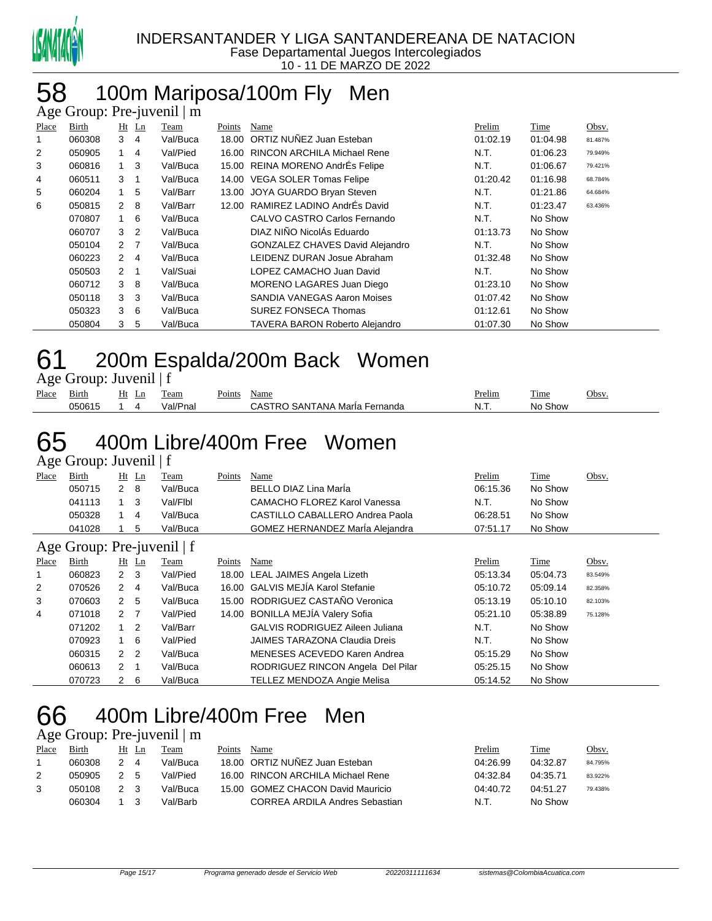

#### 100m Mariposa/100m Fly Men  $\mathsf{n} \cdot \mathsf{Pre}\text{-}\mathsf{in}$ venil  $\mathsf{l} \mathsf{m}$

|       | $\Delta$ ge Oroup. Tre-juvenir   m |                  |                |          |        |                                       |          |          |         |  |  |  |
|-------|------------------------------------|------------------|----------------|----------|--------|---------------------------------------|----------|----------|---------|--|--|--|
| Place | Birth                              |                  | $Ht$ Ln        | Team     | Points | Name                                  | Prelim   | Time     | Obsv.   |  |  |  |
|       | 060308                             | 3                | 4              | Val/Buca |        | 18.00 ORTIZ NUÑEZ Juan Esteban        | 01:02.19 | 01:04.98 | 81.487% |  |  |  |
| 2     | 050905                             |                  | $\overline{4}$ | Val/Pied |        | 16.00 RINCON ARCHILA Michael Rene     | N.T.     | 01:06.23 | 79.949% |  |  |  |
| 3     | 060816                             | 1                | $\mathbf{3}$   | Val/Buca |        | 15.00 REINA MORENO AndrÉs Felipe      | N.T.     | 01:06.67 | 79.421% |  |  |  |
| 4     | 060511                             | 3                | $\mathbf 1$    | Val/Buca |        | 14.00 VEGA SOLER Tomas Felipe         | 01:20.42 | 01:16.98 | 68.784% |  |  |  |
| 5     | 060204                             | $1 \quad$        | 5              | Val/Barr | 13.00  | JOYA GUARDO Bryan Steven              | N.T.     | 01:21.86 | 64.684% |  |  |  |
| 6     | 050815                             | $2 \quad 8$      |                | Val/Barr |        | 12.00 RAMIREZ LADINO AndrÉs David     | N.T.     | 01:23.47 | 63.436% |  |  |  |
|       | 070807                             | 1 6              |                | Val/Buca |        | CALVO CASTRO Carlos Fernando          | N.T.     | No Show  |         |  |  |  |
|       | 060707                             | 3                | $\overline{2}$ | Val/Buca |        | DIAZ NIÑO NicolÁs Eduardo             | 01:13.73 | No Show  |         |  |  |  |
|       | 050104                             | $2 \overline{7}$ |                | Val/Buca |        | GONZALEZ CHAVES David Alejandro       | N.T.     | No Show  |         |  |  |  |
|       | 060223                             | $\overline{2}$   | $\overline{4}$ | Val/Buca |        | LEIDENZ DURAN Josue Abraham           | 01:32.48 | No Show  |         |  |  |  |
|       | 050503                             | $\overline{2}$   | $\overline{1}$ | Val/Suai |        | LOPEZ CAMACHO Juan David              | N.T.     | No Show  |         |  |  |  |
|       | 060712                             | 3                | 8              | Val/Buca |        | MORENO LAGARES Juan Diego             | 01:23.10 | No Show  |         |  |  |  |
|       | 050118                             | 3 <sub>3</sub>   |                | Val/Buca |        | SANDIA VANEGAS Aaron Moises           | 01:07.42 | No Show  |         |  |  |  |
|       | 050323                             | 3                | - 6            | Val/Buca |        | <b>SUREZ FONSECA Thomas</b>           | 01:12.61 | No Show  |         |  |  |  |
|       | 050804                             | 3                | 5              | Val/Buca |        | <b>TAVERA BARON Roberto Alejandro</b> | 01:07.30 | No Show  |         |  |  |  |
|       |                                    |                  |                |          |        |                                       |          |          |         |  |  |  |

# 200m Espalda/200m Back Women

Age Group: Juvenil | f

| --    |        |          |                    |               |                               |        |                       |      |
|-------|--------|----------|--------------------|---------------|-------------------------------|--------|-----------------------|------|
| Place | Bırth  | Ht<br>LD | eam                | <b>Points</b> | Name                          | Prelim | m.<br>1 <sub>me</sub> | Jbsv |
|       | 050615 |          | ` <i>'</i> al/Pna∟ |               | CASTRO SANTANA Maria Fernanda | -N. L  | No Show               |      |
|       |        |          |                    |               |                               |        |                       |      |

### 400m Libre/400m Free Women Age Group: Juvenil | f

| $1.5$ CHOUP. $3.0$ VCHII $\pm$ |        |        |     |          |        |                                     |          |             |       |  |  |
|--------------------------------|--------|--------|-----|----------|--------|-------------------------------------|----------|-------------|-------|--|--|
| Place                          | Birth  | Ht     | Ln  | Team     | Points | Name                                | Prelim   | <b>Time</b> | Obsv. |  |  |
|                                | 050715 |        | - 8 | Val/Buca |        | BELLO DIAZ Lina Marla               | 06:15.36 | No Show     |       |  |  |
|                                | 041113 |        |     | Val/Flbl |        | <b>CAMACHO FLOREZ Karol Vanessa</b> | N.T.     | No Show     |       |  |  |
|                                | 050328 |        | 4   | Val/Buca |        | CASTILLO CABALLERO Andrea Paola     | 06:28.51 | No Show     |       |  |  |
|                                | 041028 |        | 5   | Val/Buca |        | GOMEZ HERNANDEZ MarÍa Alejandra     | 07:51.17 | No Show     |       |  |  |
|                                | $\sim$ | $\sim$ |     |          |        |                                     |          |             |       |  |  |

#### Age Group: Pre-juvenil | f

| Place        | <b>Birth</b> |               | $Ht$ Ln        | <b>Team</b> | Points | Name                                   | Prelim   | Time     | Obsv.   |
|--------------|--------------|---------------|----------------|-------------|--------|----------------------------------------|----------|----------|---------|
| $\mathbf{1}$ | 060823       | $2 \quad 3$   |                | Val/Pied    |        | 18.00 LEAL JAIMES Angela Lizeth        | 05:13.34 | 05:04.73 | 83.549% |
| 2            | 070526       | 2             | 4              | Val/Buca    |        | 16.00 GALVIS MEJÍA Karol Stefanie      | 05:10.72 | 05:09.14 | 82.358% |
| 3            | 070603       | 2             | 5              | Val/Buca    |        | 15.00 RODRIGUEZ CASTAÑO Veronica       | 05:13.19 | 05:10.10 | 82.103% |
| 4            | 071018       | $\mathcal{P}$ |                | Val/Pied    |        | 14.00 BONILLA MEJÍA Valery Sofia       | 05:21.10 | 05:38.89 | 75.128% |
|              | 071202       |               | $\overline{2}$ | Val/Barr    |        | <b>GALVIS RODRIGUEZ Aileen Juliana</b> | N.T.     | No Show  |         |
|              | 070923       |               | - 6            | Val/Pied    |        | <b>JAIMES TARAZONA Claudia Dreis</b>   | N.T.     | No Show  |         |
|              | 060315       | 2             | 2              | Val/Buca    |        | MENESES ACEVEDO Karen Andrea           | 05:15.29 | No Show  |         |
|              | 060613       | 2             |                | Val/Buca    |        | RODRIGUEZ RINCON Angela Del Pilar      | 05:25.15 | No Show  |         |
|              | 070723       | 2             | -6             | Val/Buca    |        | TELLEZ MENDOZA Angie Melisa            | 05:14.52 | No Show  |         |

### 400m Libre/400m Free Men

### Age Group: Pre-juvenil | m

| Place | Birth  | Ht Ln |                | <b>Team</b> | Points | Name                              | Prelim   | Time     | <u>Obsv.</u> |
|-------|--------|-------|----------------|-------------|--------|-----------------------------------|----------|----------|--------------|
|       | 060308 |       | $\overline{4}$ | Val/Buca    |        | 18.00 ORTIZ NUÑEZ Juan Esteban    | 04:26.99 | 04:32.87 | 84.795%      |
|       | 050905 | 25    |                | Val/Pied    |        | 16.00 RINCON ARCHILA Michael Rene | 04:32.84 | 04:35.71 | 83.922%      |
|       | 050108 |       |                | Val/Buca    |        | 15.00 GOMEZ CHACON David Mauricio | 04:40.72 | 04:51.27 | 79.438%      |
|       | 060304 |       |                | Val/Barb.   |        | CORREA ARDILA Andres Sebastian    | N.T.     | No Show  |              |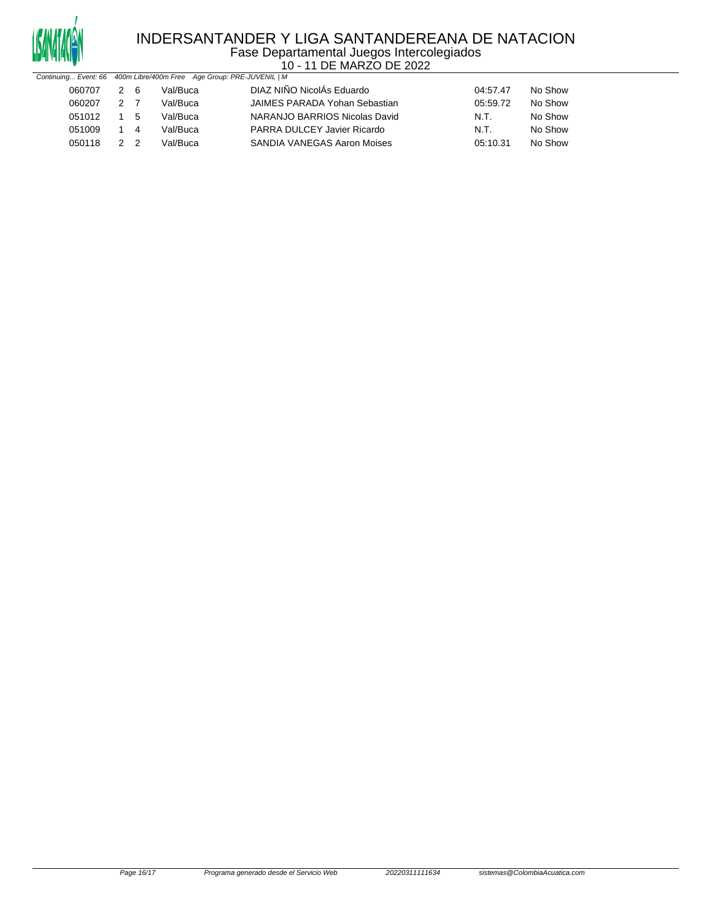

#### INDERSANTANDER Y LIGA SANTANDEREANA DE NATACION Fase Departamental Juegos Intercolegiados 10 - 11 DE MARZO DE 2022

| Continuing Event: 66 400m Libre/400m Free Age Group: PRE-JUVENIL   M |     |     |          |                                    |          |         |
|----------------------------------------------------------------------|-----|-----|----------|------------------------------------|----------|---------|
| 060707                                                               | 2 6 |     | Val/Buca | DIAZ NIÑO NicolÁs Eduardo          | 04:57.47 | No Show |
| 060207                                                               | 2 7 |     | Val/Buca | JAIMES PARADA Yohan Sebastian      | 05:59.72 | No Show |
| 051012                                                               |     | 1 5 | Val/Buca | NARANJO BARRIOS Nicolas David      | N.T.     | No Show |
| 051009                                                               | 1 4 |     | Val/Buca | PARRA DULCEY Javier Ricardo        | N.T.     | No Show |
| 050118                                                               | 22  |     | Val/Buca | <b>SANDIA VANEGAS Aaron Moises</b> | 05:10.31 | No Show |